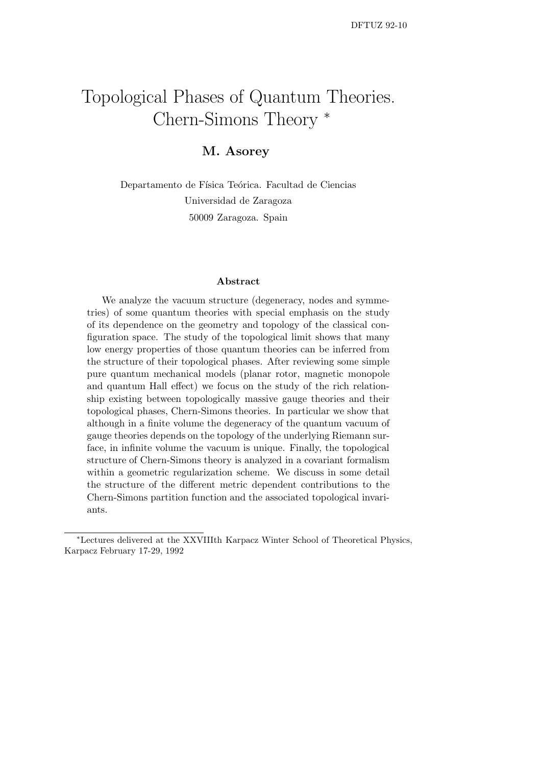# Topological Phases of Quantum Theories. Chern-Simons Theory <sup>∗</sup>

## M. Asorey

Departamento de Física Teórica. Facultad de Ciencias Universidad de Zaragoza 50009 Zaragoza. Spain

#### Abstract

We analyze the vacuum structure (degeneracy, nodes and symmetries) of some quantum theories with special emphasis on the study of its dependence on the geometry and topology of the classical configuration space. The study of the topological limit shows that many low energy properties of those quantum theories can be inferred from the structure of their topological phases. After reviewing some simple pure quantum mechanical models (planar rotor, magnetic monopole and quantum Hall effect) we focus on the study of the rich relationship existing between topologically massive gauge theories and their topological phases, Chern-Simons theories. In particular we show that although in a finite volume the degeneracy of the quantum vacuum of gauge theories depends on the topology of the underlying Riemann surface, in infinite volume the vacuum is unique. Finally, the topological structure of Chern-Simons theory is analyzed in a covariant formalism within a geometric regularization scheme. We discuss in some detail the structure of the different metric dependent contributions to the Chern-Simons partition function and the associated topological invariants.

<sup>∗</sup>Lectures delivered at the XXVIIIth Karpacz Winter School of Theoretical Physics, Karpacz February 17-29, 1992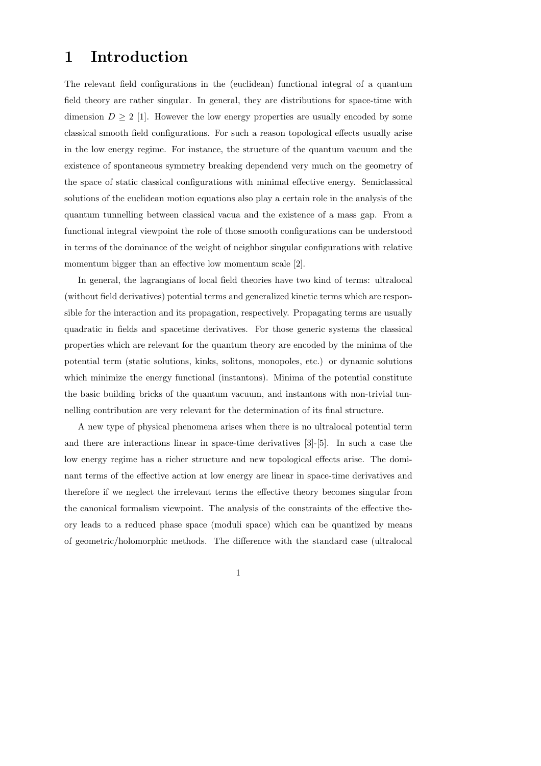## 1 Introduction

The relevant field configurations in the (euclidean) functional integral of a quantum field theory are rather singular. In general, they are distributions for space-time with dimension  $D \geq 2$  [1]. However the low energy properties are usually encoded by some classical smooth field configurations. For such a reason topological effects usually arise in the low energy regime. For instance, the structure of the quantum vacuum and the existence of spontaneous symmetry breaking dependend very much on the geometry of the space of static classical configurations with minimal effective energy. Semiclassical solutions of the euclidean motion equations also play a certain role in the analysis of the quantum tunnelling between classical vacua and the existence of a mass gap. From a functional integral viewpoint the role of those smooth configurations can be understood in terms of the dominance of the weight of neighbor singular configurations with relative momentum bigger than an effective low momentum scale [2].

In general, the lagrangians of local field theories have two kind of terms: ultralocal (without field derivatives) potential terms and generalized kinetic terms which are responsible for the interaction and its propagation, respectively. Propagating terms are usually quadratic in fields and spacetime derivatives. For those generic systems the classical properties which are relevant for the quantum theory are encoded by the minima of the potential term (static solutions, kinks, solitons, monopoles, etc.) or dynamic solutions which minimize the energy functional (instantons). Minima of the potential constitute the basic building bricks of the quantum vacuum, and instantons with non-trivial tunnelling contribution are very relevant for the determination of its final structure.

A new type of physical phenomena arises when there is no ultralocal potential term and there are interactions linear in space-time derivatives [3]-[5]. In such a case the low energy regime has a richer structure and new topological effects arise. The dominant terms of the effective action at low energy are linear in space-time derivatives and therefore if we neglect the irrelevant terms the effective theory becomes singular from the canonical formalism viewpoint. The analysis of the constraints of the effective theory leads to a reduced phase space (moduli space) which can be quantized by means of geometric/holomorphic methods. The difference with the standard case (ultralocal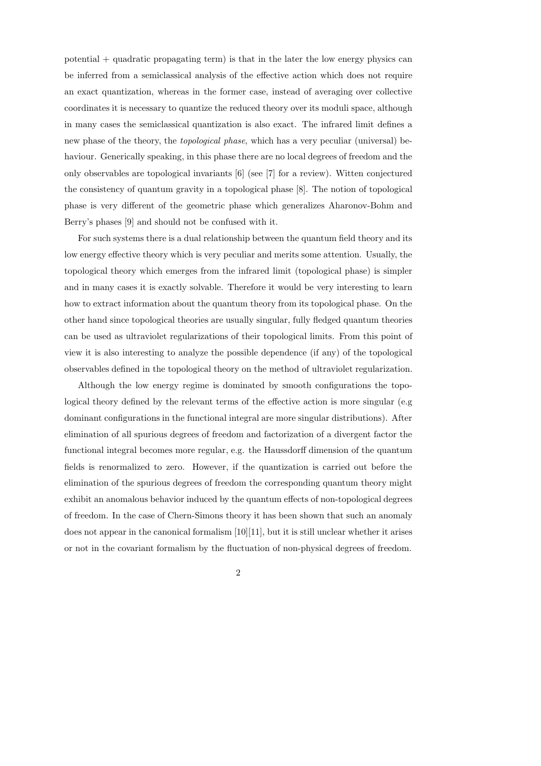potential  $+$  quadratic propagating term) is that in the later the low energy physics can be inferred from a semiclassical analysis of the effective action which does not require an exact quantization, whereas in the former case, instead of averaging over collective coordinates it is necessary to quantize the reduced theory over its moduli space, although in many cases the semiclassical quantization is also exact. The infrared limit defines a new phase of the theory, the topological phase, which has a very peculiar (universal) behaviour. Generically speaking, in this phase there are no local degrees of freedom and the only observables are topological invariants [6] (see [7] for a review). Witten conjectured the consistency of quantum gravity in a topological phase [8]. The notion of topological phase is very different of the geometric phase which generalizes Aharonov-Bohm and Berry's phases [9] and should not be confused with it.

For such systems there is a dual relationship between the quantum field theory and its low energy effective theory which is very peculiar and merits some attention. Usually, the topological theory which emerges from the infrared limit (topological phase) is simpler and in many cases it is exactly solvable. Therefore it would be very interesting to learn how to extract information about the quantum theory from its topological phase. On the other hand since topological theories are usually singular, fully fledged quantum theories can be used as ultraviolet regularizations of their topological limits. From this point of view it is also interesting to analyze the possible dependence (if any) of the topological observables defined in the topological theory on the method of ultraviolet regularization.

Although the low energy regime is dominated by smooth configurations the topological theory defined by the relevant terms of the effective action is more singular (e.g dominant configurations in the functional integral are more singular distributions). After elimination of all spurious degrees of freedom and factorization of a divergent factor the functional integral becomes more regular, e.g. the Haussdorff dimension of the quantum fields is renormalized to zero. However, if the quantization is carried out before the elimination of the spurious degrees of freedom the corresponding quantum theory might exhibit an anomalous behavior induced by the quantum effects of non-topological degrees of freedom. In the case of Chern-Simons theory it has been shown that such an anomaly does not appear in the canonical formalism  $[10][11]$ , but it is still unclear whether it arises or not in the covariant formalism by the fluctuation of non-physical degrees of freedom.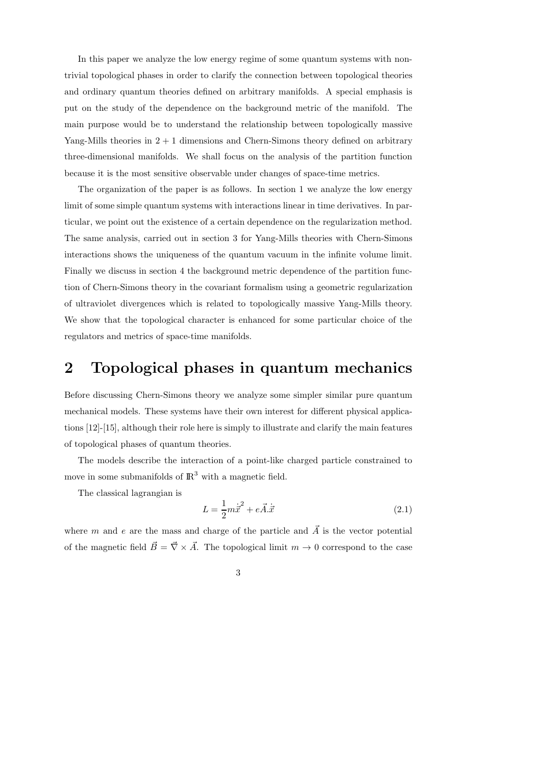In this paper we analyze the low energy regime of some quantum systems with nontrivial topological phases in order to clarify the connection between topological theories and ordinary quantum theories defined on arbitrary manifolds. A special emphasis is put on the study of the dependence on the background metric of the manifold. The main purpose would be to understand the relationship between topologically massive Yang-Mills theories in  $2 + 1$  dimensions and Chern-Simons theory defined on arbitrary three-dimensional manifolds. We shall focus on the analysis of the partition function because it is the most sensitive observable under changes of space-time metrics.

The organization of the paper is as follows. In section 1 we analyze the low energy limit of some simple quantum systems with interactions linear in time derivatives. In particular, we point out the existence of a certain dependence on the regularization method. The same analysis, carried out in section 3 for Yang-Mills theories with Chern-Simons interactions shows the uniqueness of the quantum vacuum in the infinite volume limit. Finally we discuss in section 4 the background metric dependence of the partition function of Chern-Simons theory in the covariant formalism using a geometric regularization of ultraviolet divergences which is related to topologically massive Yang-Mills theory. We show that the topological character is enhanced for some particular choice of the regulators and metrics of space-time manifolds.

## 2 Topological phases in quantum mechanics

Before discussing Chern-Simons theory we analyze some simpler similar pure quantum mechanical models. These systems have their own interest for different physical applications [12]-[15], although their role here is simply to illustrate and clarify the main features of topological phases of quantum theories.

The models describe the interaction of a point-like charged particle constrained to move in some submanifolds of  $\mathbb{R}^3$  with a magnetic field.

The classical lagrangian is

$$
L = \frac{1}{2}m\dot{\vec{x}}^2 + e\vec{A}.\dot{\vec{x}}\tag{2.1}
$$

where m and e are the mass and charge of the particle and  $\vec{A}$  is the vector potential of the magnetic field  $\vec{B} = \vec{\nabla} \times \vec{A}$ . The topological limit  $m \to 0$  correspond to the case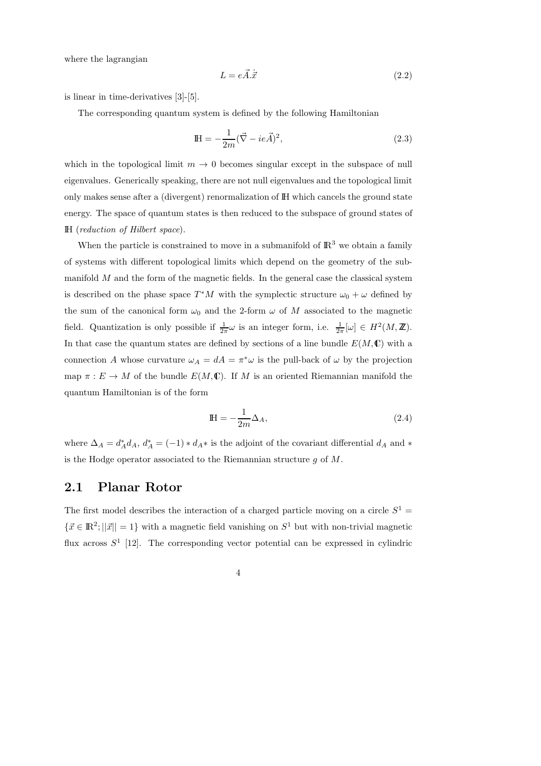where the lagrangian

$$
L = e\vec{A}.\dot{\vec{x}} \tag{2.2}
$$

is linear in time-derivatives [3]-[5].

The corresponding quantum system is defined by the following Hamiltonian

$$
\mathbb{H} = -\frac{1}{2m}(\vec{\nabla} - ie\vec{A})^2,\tag{2.3}
$$

which in the topological limit  $m \to 0$  becomes singular except in the subspace of null eigenvalues. Generically speaking, there are not null eigenvalues and the topological limit only makes sense after a (divergent) renormalization of IH which cancels the ground state energy. The space of quantum states is then reduced to the subspace of ground states of IH (reduction of Hilbert space).

When the particle is constrained to move in a submanifold of  $\mathbb{R}^3$  we obtain a family of systems with different topological limits which depend on the geometry of the submanifold  $M$  and the form of the magnetic fields. In the general case the classical system is described on the phase space  $T^*M$  with the symplectic structure  $\omega_0 + \omega$  defined by the sum of the canonical form  $\omega_0$  and the 2-form  $\omega$  of M associated to the magnetic field. Quantization is only possible if  $\frac{1}{2\pi}\omega$  is an integer form, i.e.  $\frac{1}{2\pi}[\omega] \in H^2(M, \mathbb{Z})$ . In that case the quantum states are defined by sections of a line bundle  $E(M,\mathbb{C})$  with a connection A whose curvature  $\omega_A = dA = \pi^* \omega$  is the pull-back of  $\omega$  by the projection map  $\pi: E \to M$  of the bundle  $E(M, \mathbb{C})$ . If M is an oriented Riemannian manifold the quantum Hamiltonian is of the form

$$
\mathbb{H} = -\frac{1}{2m}\Delta_A,\tag{2.4}
$$

where  $\Delta_A = d_A^* d_A$ ,  $d_A^* = (-1) * d_A *$  is the adjoint of the covariant differential  $d_A$  and  $*$ is the Hodge operator associated to the Riemannian structure  $g$  of  $M$ .

#### 2.1 Planar Rotor

The first model describes the interaction of a charged particle moving on a circle  $S^1$  =  $\{\vec{x} \in \mathbb{R}^2; ||\vec{x}|| = 1\}$  with a magnetic field vanishing on  $S^1$  but with non-trivial magnetic flux across  $S^1$  [12]. The corresponding vector potential can be expressed in cylindric

$$
4\phantom{.0}
$$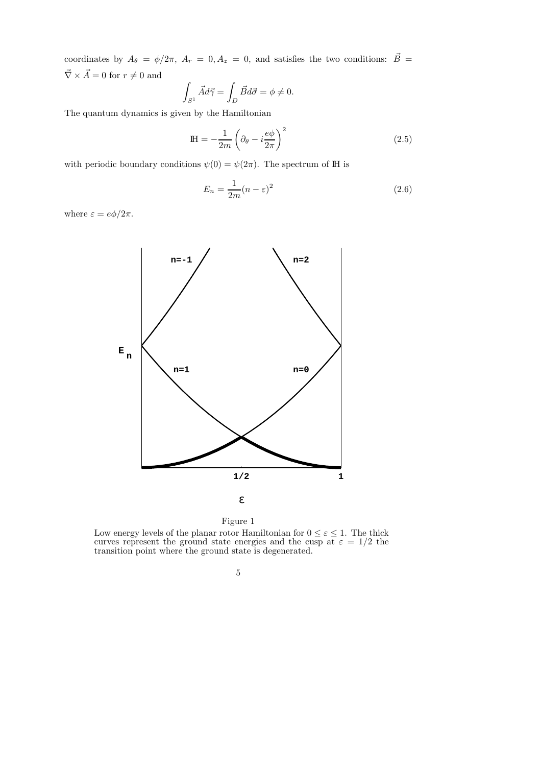coordinates by  $A_{\theta} = \phi/2\pi$ ,  $A_{r} = 0, A_{z} = 0$ , and satisfies the two conditions:  $\vec{B} =$  $\vec{\nabla}\times\vec{A}=0$  for  $r\neq 0$  and

$$
\int_{S^1} \vec{A} d\vec{\gamma} = \int_D \vec{B} d\vec{\sigma} = \phi \neq 0.
$$

The quantum dynamics is given by the Hamiltonian

$$
\mathbb{H} = -\frac{1}{2m} \left( \partial_{\theta} - i \frac{e\phi}{2\pi} \right)^2 \tag{2.5}
$$

with periodic boundary conditions  $\psi(0) = \psi(2\pi)$ . The spectrum of IH is

$$
E_n = \frac{1}{2m}(n - \varepsilon)^2
$$
\n(2.6)

where  $\varepsilon = e\phi/2\pi$ .





Low energy levels of the planar rotor Hamiltonian for  $0 \leq \varepsilon \leq 1$ . The thick curves represent the ground state energies and the cusp at  $\varepsilon = 1/2$  the transition point where the ground state is degenerated.

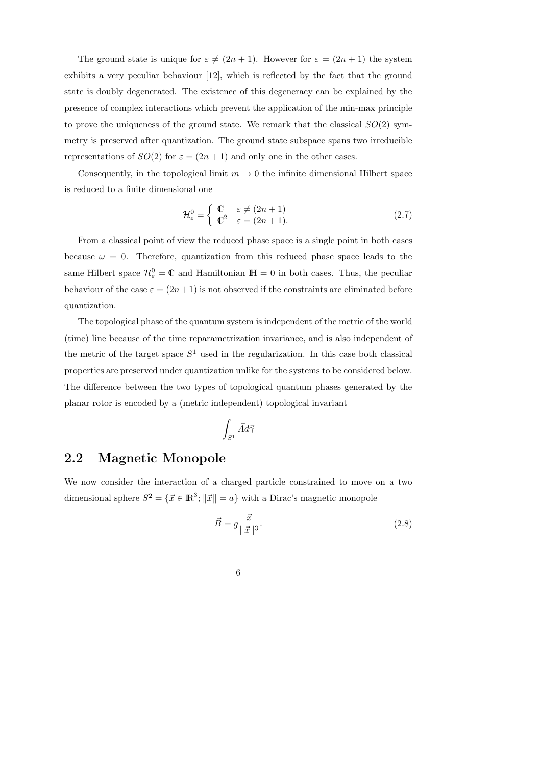The ground state is unique for  $\varepsilon \neq (2n + 1)$ . However for  $\varepsilon = (2n + 1)$  the system exhibits a very peculiar behaviour [12], which is reflected by the fact that the ground state is doubly degenerated. The existence of this degeneracy can be explained by the presence of complex interactions which prevent the application of the min-max principle to prove the uniqueness of the ground state. We remark that the classical  $SO(2)$  symmetry is preserved after quantization. The ground state subspace spans two irreducible representations of  $SO(2)$  for  $\varepsilon = (2n + 1)$  and only one in the other cases.

Consequently, in the topological limit  $m \to 0$  the infinite dimensional Hilbert space is reduced to a finite dimensional one

$$
\mathcal{H}_{\varepsilon}^{0} = \begin{cases} \mathbb{C} & \varepsilon \neq (2n+1) \\ \mathbb{C}^{2} & \varepsilon = (2n+1). \end{cases}
$$
 (2.7)

From a classical point of view the reduced phase space is a single point in both cases because  $\omega = 0$ . Therefore, quantization from this reduced phase space leads to the same Hilbert space  $\mathcal{H}_{\varepsilon}^0 = \mathbb{C}$  and Hamiltonian  $\mathbb{H} = 0$  in both cases. Thus, the peculiar behaviour of the case  $\varepsilon = (2n+1)$  is not observed if the constraints are eliminated before quantization.

The topological phase of the quantum system is independent of the metric of the world (time) line because of the time reparametrization invariance, and is also independent of the metric of the target space  $S<sup>1</sup>$  used in the regularization. In this case both classical properties are preserved under quantization unlike for the systems to be considered below. The difference between the two types of topological quantum phases generated by the planar rotor is encoded by a (metric independent) topological invariant

$$
\int_{S^1} \vec{A} d\vec{\gamma}
$$

### 2.2 Magnetic Monopole

We now consider the interaction of a charged particle constrained to move on a two dimensional sphere  $S^2 = {\{\vec{x} \in \mathbb{R}^3; ||\vec{x}|| = a\}}$  with a Dirac's magnetic monopole

$$
\vec{B} = g \frac{\vec{x}}{||\vec{x}||^3}.
$$
\n(2.8)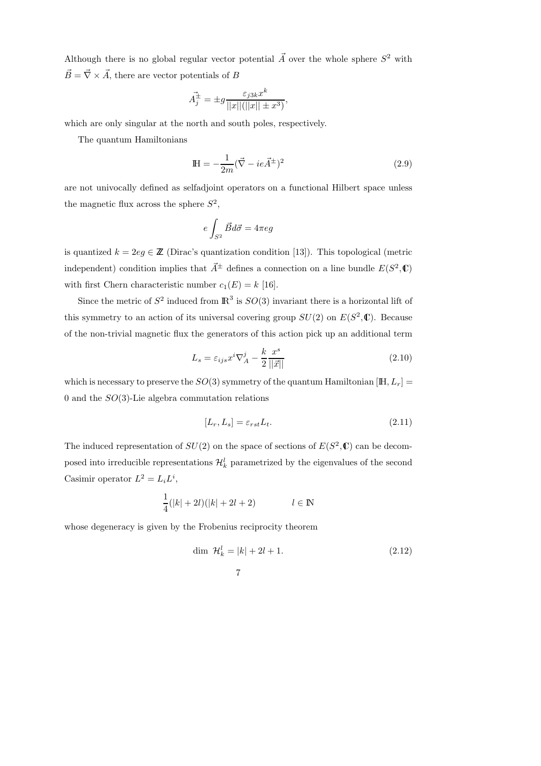Although there is no global regular vector potential  $\vec{A}$  over the whole sphere  $S^2$  with  $\vec{B} = \vec{\nabla} \times \vec{A}$ , there are vector potentials of B

$$
\vec{A}_j^{\pm} = \pm g \frac{\varepsilon_{j3k} x^k}{||x||(||x|| \pm x^3)},
$$

which are only singular at the north and south poles, respectively.

The quantum Hamiltonians

$$
\mathbb{H} = -\frac{1}{2m} (\vec{\nabla} - ie\vec{A}^{\pm})^2
$$
 (2.9)

are not univocally defined as selfadjoint operators on a functional Hilbert space unless the magnetic flux across the sphere  $S^2$ ,

$$
e\int_{S^2}\vec{B}d\vec{\sigma}=4\pi eg
$$

is quantized  $k = 2eg \in \mathbb{Z}$  (Dirac's quantization condition [13]). This topological (metric independent) condition implies that  $\vec{A}^{\pm}$  defines a connection on a line bundle  $E(S^2, \mathbb{C})$ with first Chern characteristic number  $c_1(E) = k$  [16].

Since the metric of  $S^2$  induced from  $\mathbb{R}^3$  is  $SO(3)$  invariant there is a horizontal lift of this symmetry to an action of its universal covering group  $SU(2)$  on  $E(S^2, \mathbb{C})$ . Because of the non-trivial magnetic flux the generators of this action pick up an additional term

$$
L_s = \varepsilon_{ijs} x^i \nabla_A^j - \frac{k}{2} \frac{x^s}{||\vec{x}||}
$$
\n(2.10)

which is necessary to preserve the  $SO(3)$  symmetry of the quantum Hamiltonian [IH,  $L_r$ ] = 0 and the  $SO(3)$ -Lie algebra commutation relations

$$
[L_r, L_s] = \varepsilon_{rst} L_t. \tag{2.11}
$$

The induced representation of  $SU(2)$  on the space of sections of  $E(S^2, \mathbb{C})$  can be decomposed into irreducible representations  $\mathcal{H}_k^l$  parametrized by the eigenvalues of the second Casimir operator  $L^2 = L_i L^i$ ,

$$
\frac{1}{4}(|k|+2l)(|k|+2l+2) \qquad l \in \mathbb{N}
$$

whose degeneracy is given by the Frobenius reciprocity theorem

$$
\dim \ \mathcal{H}_k^l = |k| + 2l + 1. \tag{2.12}
$$

$$
7\phantom{.0}
$$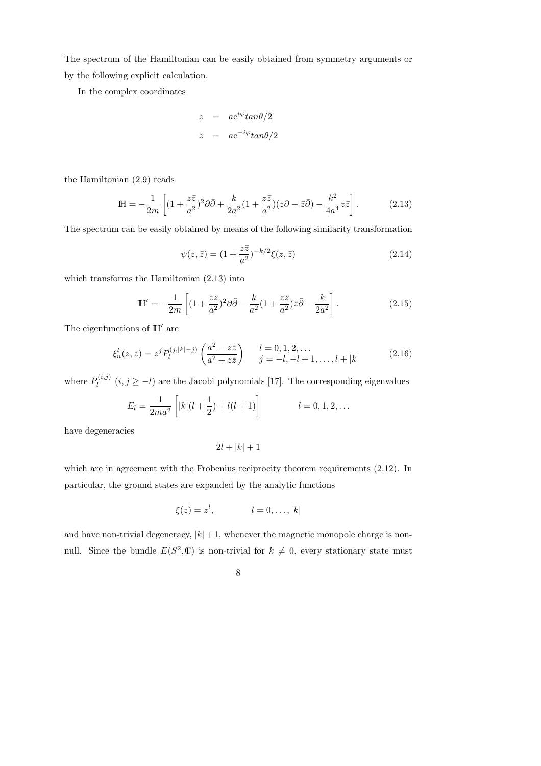The spectrum of the Hamiltonian can be easily obtained from symmetry arguments or by the following explicit calculation.

In the complex coordinates

$$
z = ae^{i\varphi} \tan \theta/2
$$
  

$$
\bar{z} = ae^{-i\varphi} \tan \theta/2
$$

the Hamiltonian (2.9) reads

$$
\mathbb{H} = -\frac{1}{2m} \left[ (1 + \frac{z\bar{z}}{a^2})^2 \partial \bar{\partial} + \frac{k}{2a^2} (1 + \frac{z\bar{z}}{a^2}) (z\partial - \bar{z}\bar{\partial}) - \frac{k^2}{4a^4} z\bar{z} \right].
$$
 (2.13)

The spectrum can be easily obtained by means of the following similarity transformation

$$
\psi(z,\bar{z}) = (1 + \frac{z\bar{z}}{a^2})^{-k/2}\xi(z,\bar{z})
$$
\n(2.14)

which transforms the Hamiltonian (2.13) into

$$
\mathbb{H}' = -\frac{1}{2m} \left[ (1 + \frac{z\bar{z}}{a^2})^2 \partial \bar{\partial} - \frac{k}{a^2} (1 + \frac{z\bar{z}}{a^2}) \bar{z} \bar{\partial} - \frac{k}{2a^2} \right].
$$
 (2.15)

The eigenfunctions of IH′ are

$$
\xi_n^l(z,\bar{z}) = z^j P_l^{(j,|k|-j)}\left(\frac{a^2 - z\bar{z}}{a^2 + z\bar{z}}\right) \quad l = 0, 1, 2, \dots
$$
\n
$$
j = -l, -l + 1, \dots, l + |k| \tag{2.16}
$$

where  $P_l^{(i,j)}$  $\ell_i^{(i,j)}$   $(i, j \ge -l)$  are the Jacobi polynomials [17]. The corresponding eigenvalues

$$
E_l = \frac{1}{2ma^2} \left[ |k|(l + \frac{1}{2}) + l(l + 1) \right] \qquad l = 0, 1, 2, ...
$$

have degeneracies

$$
2l+|k|+1
$$

which are in agreement with the Frobenius reciprocity theorem requirements  $(2.12)$ . In particular, the ground states are expanded by the analytic functions

$$
\xi(z) = z^l, \qquad l = 0, \dots, |k|
$$

and have non-trivial degeneracy,  $|k|+1$ , whenever the magnetic monopole charge is nonnull. Since the bundle  $E(S^2, \mathbb{C})$  is non-trivial for  $k \neq 0$ , every stationary state must

8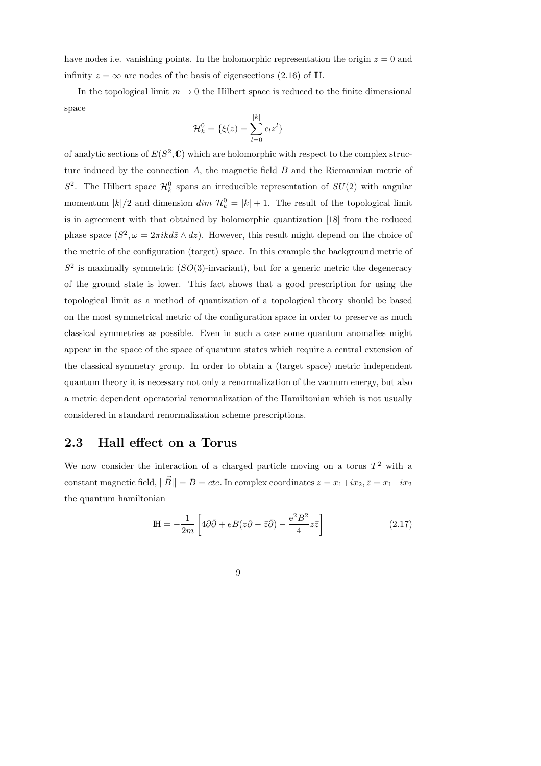have nodes i.e. vanishing points. In the holomorphic representation the origin  $z = 0$  and infinity  $z = \infty$  are nodes of the basis of eigensections (2.16) of IH.

In the topological limit  $m \to 0$  the Hilbert space is reduced to the finite dimensional space

$$
\mathcal{H}_k^0 = \{\xi(z) = \sum_{l=0}^{|k|} c_l z^l\}
$$

of analytic sections of  $E(S^2, \mathbb{C})$  which are holomorphic with respect to the complex structure induced by the connection  $A$ , the magnetic field  $B$  and the Riemannian metric of  $S^2$ . The Hilbert space  $\mathcal{H}_k^0$  spans an irreducible representation of  $SU(2)$  with angular momentum  $|k|/2$  and dimension  $dim \mathcal{H}_k^0 = |k| + 1$ . The result of the topological limit is in agreement with that obtained by holomorphic quantization [18] from the reduced phase space  $(S^2, \omega = 2\pi i k d\bar{z} \wedge dz)$ . However, this result might depend on the choice of the metric of the configuration (target) space. In this example the background metric of  $S<sup>2</sup>$  is maximally symmetric  $(SO(3)$ -invariant), but for a generic metric the degeneracy of the ground state is lower. This fact shows that a good prescription for using the topological limit as a method of quantization of a topological theory should be based on the most symmetrical metric of the configuration space in order to preserve as much classical symmetries as possible. Even in such a case some quantum anomalies might appear in the space of the space of quantum states which require a central extension of the classical symmetry group. In order to obtain a (target space) metric independent quantum theory it is necessary not only a renormalization of the vacuum energy, but also a metric dependent operatorial renormalization of the Hamiltonian which is not usually considered in standard renormalization scheme prescriptions.

### 2.3 Hall effect on a Torus

We now consider the interaction of a charged particle moving on a torus  $T^2$  with a constant magnetic field,  $||\vec{B}|| = B = cte$ . In complex coordinates  $z = x_1+ix_2, \bar{z} = x_1-ix_2$ the quantum hamiltonian

$$
\mathbb{H} = -\frac{1}{2m} \left[ 4\partial \bar{\partial} + eB(z\partial - \bar{z}\bar{\partial}) - \frac{e^2 B^2}{4} z\bar{z} \right]
$$
 (2.17)

9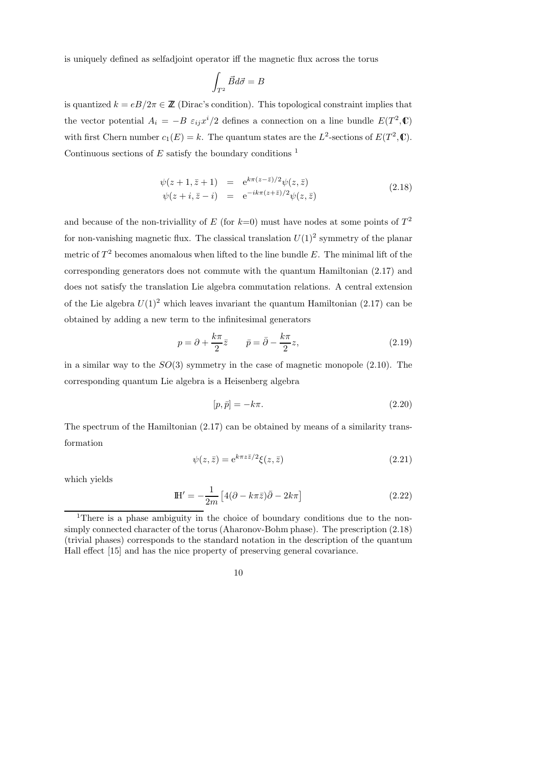is uniquely defined as selfadjoint operator iff the magnetic flux across the torus

$$
\int_{T^2} \vec{B}d\vec{\sigma} = B
$$

is quantized  $k = eB/2\pi \in \mathbb{Z}$  (Dirac's condition). This topological constraint implies that the vector potential  $A_i = -B \varepsilon_{ij} x^i / 2$  defines a connection on a line bundle  $E(T^2, \mathbb{C})$ with first Chern number  $c_1(E) = k$ . The quantum states are the L<sup>2</sup>-sections of  $E(T^2, \mathbb{C})$ . Continuous sections of  $E$  satisfy the boundary conditions  $<sup>1</sup>$ </sup>

$$
\psi(z+1, \bar{z}+1) = e^{k\pi(z-\bar{z})/2}\psi(z,\bar{z})
$$
  
\n
$$
\psi(z+i, \bar{z}-i) = e^{-ik\pi(z+\bar{z})/2}\psi(z,\bar{z})
$$
\n(2.18)

and because of the non-triviallity of E (for  $k=0$ ) must have nodes at some points of  $T^2$ for non-vanishing magnetic flux. The classical translation  $U(1)^2$  symmetry of the planar metric of  $T^2$  becomes anomalous when lifted to the line bundle E. The minimal lift of the corresponding generators does not commute with the quantum Hamiltonian (2.17) and does not satisfy the translation Lie algebra commutation relations. A central extension of the Lie algebra  $U(1)^2$  which leaves invariant the quantum Hamiltonian (2.17) can be obtained by adding a new term to the infinitesimal generators

$$
p = \partial + \frac{k\pi}{2}\bar{z} \qquad \bar{p} = \bar{\partial} - \frac{k\pi}{2}z,
$$
\n(2.19)

in a similar way to the  $SO(3)$  symmetry in the case of magnetic monopole  $(2.10)$ . The corresponding quantum Lie algebra is a Heisenberg algebra

$$
[p, \bar{p}] = -k\pi. \tag{2.20}
$$

The spectrum of the Hamiltonian (2.17) can be obtained by means of a similarity transformation

$$
\psi(z,\bar{z}) = e^{k\pi z\bar{z}/2}\xi(z,\bar{z})\tag{2.21}
$$

which yields

$$
\mathbb{H}' = -\frac{1}{2m} \left[ 4(\partial - k\pi \bar{z})\bar{\partial} - 2k\pi \right]
$$
 (2.22)

<sup>&</sup>lt;sup>1</sup>There is a phase ambiguity in the choice of boundary conditions due to the nonsimply connected character of the torus (Aharonov-Bohm phase). The prescription (2.18) (trivial phases) corresponds to the standard notation in the description of the quantum Hall effect [15] and has the nice property of preserving general covariance.

<sup>10</sup>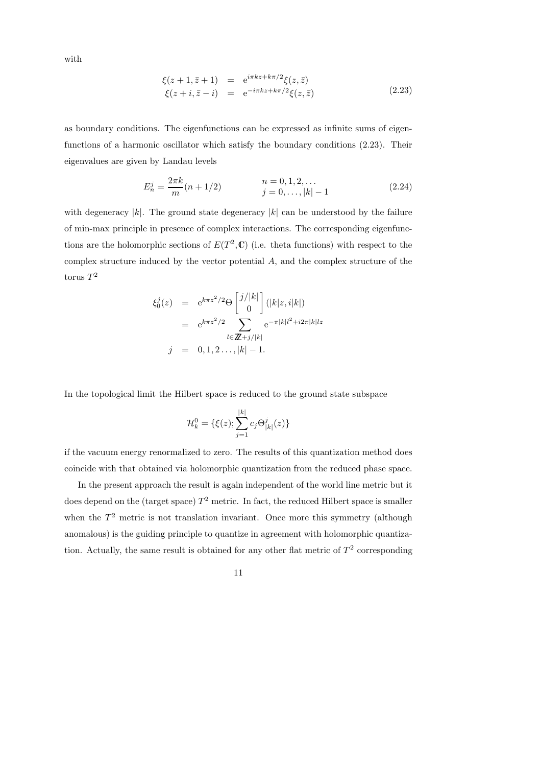with

$$
\xi(z+1, \bar{z}+1) = e^{i\pi kz + k\pi/2} \xi(z, \bar{z}) \n\xi(z+i, \bar{z}-i) = e^{-i\pi kz + k\pi/2} \xi(z, \bar{z})
$$
\n(2.23)

as boundary conditions. The eigenfunctions can be expressed as infinite sums of eigenfunctions of a harmonic oscillator which satisfy the boundary conditions (2.23). Their eigenvalues are given by Landau levels

$$
E_n^j = \frac{2\pi k}{m}(n+1/2) \qquad \qquad n = 0, 1, 2, \dots
$$
  
\n
$$
j = 0, \dots, |k| - 1 \qquad (2.24)
$$

with degeneracy |k|. The ground state degeneracy  $|k|$  can be understood by the failure of min-max principle in presence of complex interactions. The corresponding eigenfunctions are the holomorphic sections of  $E(T^2, \mathbb{C})$  (i.e. theta functions) with respect to the complex structure induced by the vector potential A, and the complex structure of the torus  $T^2$ 

$$
\xi_0^j(z) = e^{k\pi z^2/2} \Theta \begin{bmatrix} j/|k| \\ 0 \end{bmatrix} (|k|z, i|k|)
$$
  
=  $e^{k\pi z^2/2} \sum_{l \in \mathbb{Z}+j/|k|} e^{-\pi |k|l^2 + i2\pi |k|lz}$   

$$
j = 0, 1, 2, ..., |k| - 1.
$$

In the topological limit the Hilbert space is reduced to the ground state subspace

$$
\mathcal{H}_k^0 = \{ \xi(z); \sum_{j=1}^{|k|} c_j \Theta_{|k|}^j(z) \}
$$

if the vacuum energy renormalized to zero. The results of this quantization method does coincide with that obtained via holomorphic quantization from the reduced phase space.

In the present approach the result is again independent of the world line metric but it does depend on the (target space)  $T^2$  metric. In fact, the reduced Hilbert space is smaller when the  $T<sup>2</sup>$  metric is not translation invariant. Once more this symmetry (although anomalous) is the guiding principle to quantize in agreement with holomorphic quantization. Actually, the same result is obtained for any other flat metric of  $T^2$  corresponding

11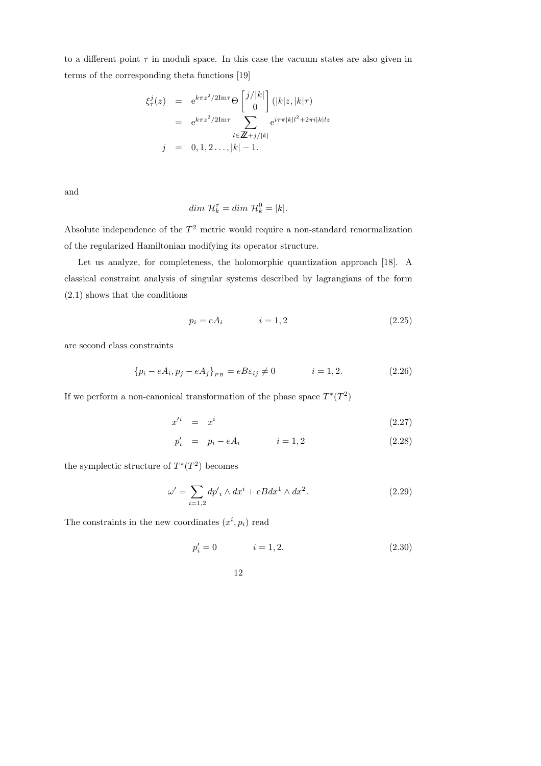to a different point  $\tau$  in moduli space. In this case the vacuum states are also given in terms of the corresponding theta functions [19]

$$
\xi_{\tau}^{j}(z) = e^{k\pi z^{2}/2\text{Im}\tau} \Theta \begin{bmatrix} j/|k| \\ 0 \end{bmatrix} (|k|z, |k|\tau)
$$
  
=  $e^{k\pi z^{2}/2\text{Im}\tau} \sum_{l \in \mathbb{Z}+j/|k|} e^{i\tau \pi |k|l^{2} + 2\pi i|k|lz}$   
 $j = 0, 1, 2, ..., |k| - 1.$ 

and

$$
dim \ \mathcal{H}_k^{\tau} = dim \ \mathcal{H}_k^0 = |k|.
$$

Absolute independence of the  $T<sup>2</sup>$  metric would require a non-standard renormalization of the regularized Hamiltonian modifying its operator structure.

Let us analyze, for completeness, the holomorphic quantization approach [18]. A classical constraint analysis of singular systems described by lagrangians of the form (2.1) shows that the conditions

$$
p_i = eA_i \qquad \qquad i = 1, 2 \tag{2.25}
$$

are second class constraints

$$
\{p_i - eA_i, p_j - eA_j\}_{PB} = eB\varepsilon_{ij} \neq 0 \qquad i = 1, 2. \tag{2.26}
$$

If we perform a non-canonical transformation of the phase space  $T^*(T^2)$ 

$$
x'^i = x^i \tag{2.27}
$$

$$
p'_i = p_i - eA_i \qquad i = 1, 2 \qquad (2.28)
$$

the symplectic structure of  $T^*(T^2)$  becomes

$$
\omega' = \sum_{i=1,2} dp'_i \wedge dx^i + eBdx^1 \wedge dx^2.
$$
 (2.29)

The constraints in the new coordinates  $(x^i, p_i)$  read

$$
p_i' = 0 \qquad \qquad i = 1, 2. \tag{2.30}
$$

12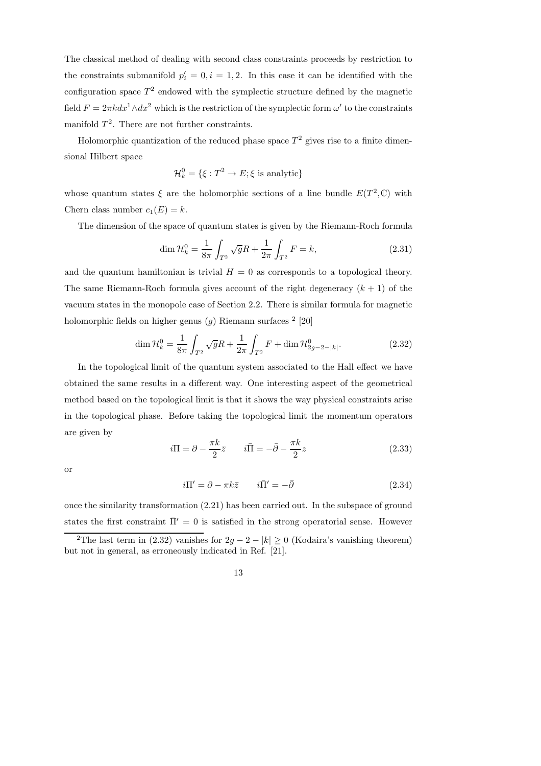The classical method of dealing with second class constraints proceeds by restriction to the constraints submanifold  $p'_i = 0, i = 1, 2$ . In this case it can be identified with the configuration space  $T^2$  endowed with the symplectic structure defined by the magnetic field  $F = 2\pi k dx^1 \wedge dx^2$  which is the restriction of the symplectic form  $\omega'$  to the constraints manifold  $T^2$ . There are not further constraints.

Holomorphic quantization of the reduced phase space  $T^2$  gives rise to a finite dimensional Hilbert space

$$
\mathcal{H}_k^0 = \{ \xi : T^2 \to E; \xi \text{ is analytic} \}
$$

whose quantum states  $\xi$  are the holomorphic sections of a line bundle  $E(T^2,\mathbb{C})$  with Chern class number  $c_1(E) = k$ .

The dimension of the space of quantum states is given by the Riemann-Roch formula

$$
\dim \mathcal{H}_k^0 = \frac{1}{8\pi} \int_{T^2} \sqrt{g} R + \frac{1}{2\pi} \int_{T^2} F = k,
$$
\n(2.31)

and the quantum hamiltonian is trivial  $H = 0$  as corresponds to a topological theory. The same Riemann-Roch formula gives account of the right degeneracy  $(k + 1)$  of the vacuum states in the monopole case of Section 2.2. There is similar formula for magnetic holomorphic fields on higher genus  $(g)$  Riemann surfaces  $2$  [20]

$$
\dim \mathcal{H}_k^0 = \frac{1}{8\pi} \int_{T^2} \sqrt{g} R + \frac{1}{2\pi} \int_{T^2} F + \dim \mathcal{H}_{2g-2-|k|}^0.
$$
 (2.32)

In the topological limit of the quantum system associated to the Hall effect we have obtained the same results in a different way. One interesting aspect of the geometrical method based on the topological limit is that it shows the way physical constraints arise in the topological phase. Before taking the topological limit the momentum operators are given by

$$
i\Pi = \partial - \frac{\pi k}{2}\bar{z} \qquad i\bar{\Pi} = -\bar{\partial} - \frac{\pi k}{2}z \tag{2.33}
$$

or

$$
i\Pi' = \partial - \pi k\bar{z} \qquad i\bar{\Pi}' = -\bar{\partial} \qquad (2.34)
$$

once the similarity transformation (2.21) has been carried out. In the subspace of ground states the first constraint  $\bar{\Pi}' = 0$  is satisfied in the strong operatorial sense. However <sup>2</sup>The last term in (2.32) vanishes for  $2g - 2 - |k| \ge 0$  (Kodaira's vanishing theorem)

but not in general, as erroneously indicated in Ref. [21].

<sup>13</sup>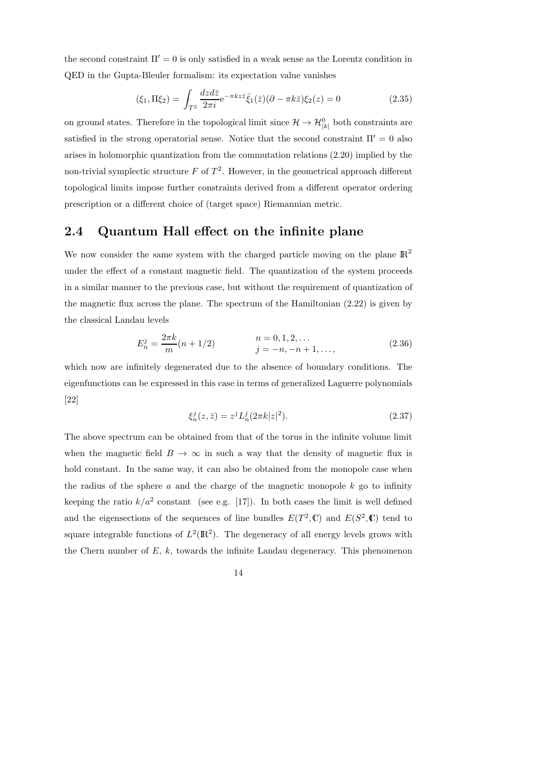the second constraint  $\Pi' = 0$  is only satisfied in a weak sense as the Lorentz condition in QED in the Gupta-Bleuler formalism: its expectation value vanishes

$$
(\xi_1, \Pi \xi_2) = \int_{T^2} \frac{dz d\bar{z}}{2\pi i} e^{-\pi k z \bar{z}} \bar{\xi}_1(\bar{z}) (\partial - \pi k \bar{z}) \xi_2(z) = 0
$$
\n(2.35)

on ground states. Therefore in the topological limit since  $\mathcal{H} \to \mathcal{H}_{|k|}^0$  both constraints are satisfied in the strong operatorial sense. Notice that the second constraint  $\Pi' = 0$  also arises in holomorphic quantization from the commutation relations (2.20) implied by the non-trivial symplectic structure  $F$  of  $T^2$ . However, in the geometrical approach different topological limits impose further constraints derived from a different operator ordering prescription or a different choice of (target space) Riemannian metric.

### 2.4 Quantum Hall effect on the infinite plane

We now consider the same system with the charged particle moving on the plane  $\mathbb{R}^2$ under the effect of a constant magnetic field. The quantization of the system proceeds in a similar manner to the previous case, but without the requirement of quantization of the magnetic flux across the plane. The spectrum of the Hamiltonian (2.22) is given by the classical Landau levels

$$
E_n^j = \frac{2\pi k}{m}(n+1/2) \qquad \qquad n = 0, 1, 2, \dots
$$
  
\n
$$
j = -n, -n+1, \dots,
$$
\n(2.36)

which now are infinitely degenerated due to the absence of boundary conditions. The eigenfunctions can be expressed in this case in terms of generalized Laguerre polynomials [22]

$$
\xi_n^j(z,\bar{z}) = z^j L_n^j(2\pi k|z|^2). \tag{2.37}
$$

The above spectrum can be obtained from that of the torus in the infinite volume limit when the magnetic field  $B \to \infty$  in such a way that the density of magnetic flux is hold constant. In the same way, it can also be obtained from the monopole case when the radius of the sphere  $a$  and the charge of the magnetic monopole  $k$  go to infinity keeping the ratio  $k/a^2$  constant (see e.g. [17]). In both cases the limit is well defined and the eigensections of the sequences of line bundles  $E(T^2, \mathbb{C})$  and  $E(S^2, \mathbb{C})$  tend to square integrable functions of  $L^2(\mathbb{R}^2)$ . The degeneracy of all energy levels grows with the Chern number of  $E$ ,  $k$ , towards the infinite Landau degeneracy. This phenomenon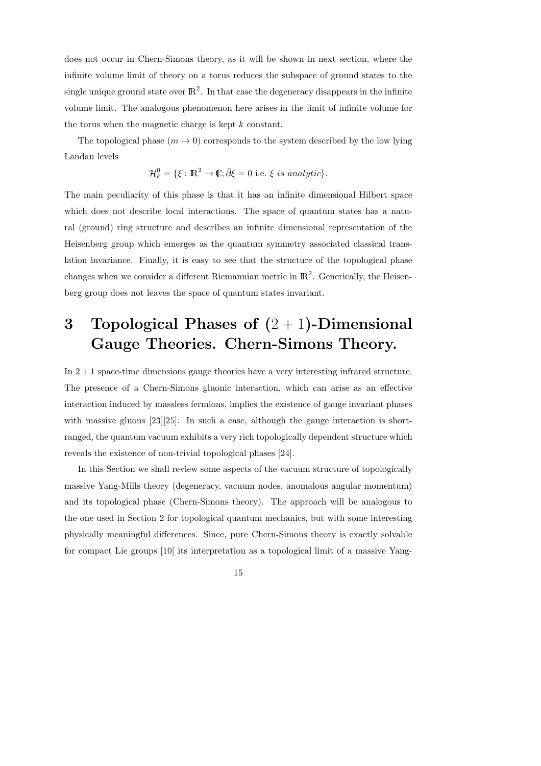does not occur in Chern-Simons theory, as it will be shown in next section, where the infinite volume limit of theory on a torus reduces the subspace of ground states to the single unique ground state over  $\mathbb{R}^2$ . In that case the degeneracy disappears in the infinite volume limit. The analogous phenomenon here arises in the limit of infinite volume for the torus when the magnetic charge is kept k constant.

The topological phase  $(m \to 0)$  corresponds to the system described by the low lying Landau levels

$$
\mathcal{H}_k^0 = \{ \xi : \mathbb{R}^2 \to \mathbb{C}; \bar{\partial}\xi = 0 \text{ i.e. } \xi \text{ is analytic} \}.
$$

The main peculiarity of this phase is that it has an infinite dimensional Hilbert space which does not describe local interactions. The space of quantum states has a natural (ground) ring structure and describes an infinite dimensional representation of the Heisenberg group which emerges as the quantum symmetry associated classical translation invariance. Finally, it is easy to see that the structure of the topological phase changes when we consider a different Riemannian metric in  $\mathbb{R}^2$ . Generically, the Heisenberg group does not leaves the space of quantum states invariant.

# 3 Topological Phases of  $(2 + 1)$ -Dimensional Gauge Theories. Chern-Simons Theory.

In 2 + 1 space-time dimensions gauge theories have a very interesting infrared structure. The presence of a Chern-Simons gluonic interaction, which can arise as an effective interaction induced by massless fermions, implies the existence of gauge invariant phases with massive gluons  $[23][25]$ . In such a case, although the gauge interaction is shortranged, the quantum vacuum exhibits a very rich topologically dependent structure which reveals the existence of non-trivial topological phases [24].

In this Section we shall review some aspects of the vacuum structure of topologically massive Yang-Mills theory (degeneracy, vacuum nodes, anomalous angular momentum) and its topological phase (Chern-Simons theory). The approach will be analogous to the one used in Section 2 for topological quantum mechanics, but with some interesting physically meaningful differences. Since, pure Chern-Simons theory is exactly solvable for compact Lie groups [10] its interpretation as a topological limit of a massive Yang-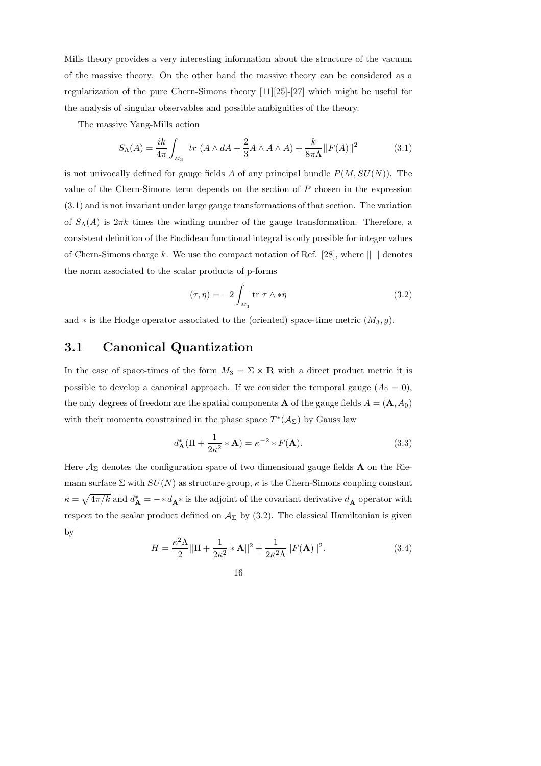Mills theory provides a very interesting information about the structure of the vacuum of the massive theory. On the other hand the massive theory can be considered as a regularization of the pure Chern-Simons theory  $[11][25]-[27]$  which might be useful for the analysis of singular observables and possible ambiguities of the theory.

The massive Yang-Mills action

$$
S_{\Lambda}(A) = \frac{ik}{4\pi} \int_{M_3} \ tr \ (A \wedge dA + \frac{2}{3} A \wedge A \wedge A) + \frac{k}{8\pi\Lambda} ||F(A)||^2 \tag{3.1}
$$

is not univocally defined for gauge fields A of any principal bundle  $P(M, SU(N))$ . The value of the Chern-Simons term depends on the section of P chosen in the expression (3.1) and is not invariant under large gauge transformations of that section. The variation of  $S_\Lambda(A)$  is  $2\pi k$  times the winding number of the gauge transformation. Therefore, a consistent definition of the Euclidean functional integral is only possible for integer values of Chern-Simons charge k. We use the compact notation of Ref. [28], where  $|| \cdot ||$  denotes the norm associated to the scalar products of p-forms

$$
(\tau, \eta) = -2 \int_{M_3} \text{tr } \tau \wedge * \eta \tag{3.2}
$$

and  $*$  is the Hodge operator associated to the (oriented) space-time metric  $(M_3, g)$ .

## 3.1 Canonical Quantization

In the case of space-times of the form  $M_3 = \Sigma \times \mathbb{R}$  with a direct product metric it is possible to develop a canonical approach. If we consider the temporal gauge  $(A_0 = 0)$ , the only degrees of freedom are the spatial components **A** of the gauge fields  $A = (\mathbf{A}, A_0)$ with their momenta constrained in the phase space  $T^*(A_\Sigma)$  by Gauss law

$$
d_{\mathbf{A}}^*(\Pi + \frac{1}{2\kappa^2} * \mathbf{A}) = \kappa^{-2} * F(\mathbf{A}).
$$
\n(3.3)

Here  $\mathcal{A}_{\Sigma}$  denotes the configuration space of two dimensional gauge fields **A** on the Riemann surface  $\Sigma$  with  $SU(N)$  as structure group,  $\kappa$  is the Chern-Simons coupling constant  $\kappa = \sqrt{4\pi/k}$  and  $d^*_{\mathbf{A}} = -*d_{\mathbf{A}}*$  is the adjoint of the covariant derivative  $d_{\mathbf{A}}$  operator with respect to the scalar product defined on  $A_\Sigma$  by (3.2). The classical Hamiltonian is given by

$$
H = \frac{\kappa^2 \Lambda}{2} ||\Pi + \frac{1}{2\kappa^2} * \mathbf{A}||^2 + \frac{1}{2\kappa^2 \Lambda} ||F(\mathbf{A})||^2.
$$
 (3.4)

16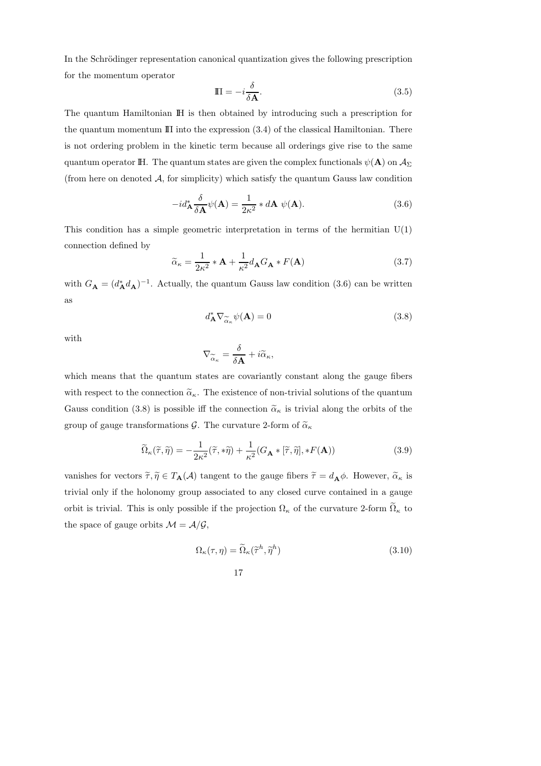In the Schrödinger representation canonical quantization gives the following prescription for the momentum operator

$$
\Pi = -i\frac{\delta}{\delta \mathbf{A}}.\tag{3.5}
$$

The quantum Hamiltonian IH is then obtained by introducing such a prescription for the quantum momentum  $\mathbb{II}$  into the expression (3.4) of the classical Hamiltonian. There is not ordering problem in the kinetic term because all orderings give rise to the same quantum operator IH. The quantum states are given the complex functionals  $\psi(A)$  on  $\mathcal{A}_{\Sigma}$ (from here on denoted  $A$ , for simplicity) which satisfy the quantum Gauss law condition

$$
-id_{\mathbf{A}}^* \frac{\delta}{\delta \mathbf{A}} \psi(\mathbf{A}) = \frac{1}{2\kappa^2} * d\mathbf{A} \ \psi(\mathbf{A}). \tag{3.6}
$$

This condition has a simple geometric interpretation in terms of the hermitian  $U(1)$ connection defined by

$$
\widetilde{\alpha}_{\kappa} = \frac{1}{2\kappa^2} * \mathbf{A} + \frac{1}{\kappa^2} d_{\mathbf{A}} G_{\mathbf{A}} * F(\mathbf{A})
$$
\n(3.7)

with  $G_{\mathbf{A}} = (d_{\mathbf{A}}^* d_{\mathbf{A}})^{-1}$ . Actually, the quantum Gauss law condition (3.6) can be written as

$$
d_{\mathbf{A}}^* \nabla_{\widetilde{\alpha}_\kappa} \psi(\mathbf{A}) = 0 \tag{3.8}
$$

with

$$
\nabla_{\widetilde{\alpha}_{\kappa}} = \frac{\delta}{\delta \mathbf{A}} + i \widetilde{\alpha}_{\kappa},
$$

which means that the quantum states are covariantly constant along the gauge fibers with respect to the connection  $\tilde{\alpha}_{\kappa}$ . The existence of non-trivial solutions of the quantum Gauss condition (3.8) is possible iff the connection  $\tilde{\alpha}_{\kappa}$  is trivial along the orbits of the group of gauge transformations G. The curvature 2-form of  $\tilde{\alpha}_{\kappa}$ 

$$
\widetilde{\Omega}_{\kappa}(\widetilde{\tau},\widetilde{\eta}) = -\frac{1}{2\kappa^2}(\widetilde{\tau},*\widetilde{\eta}) + \frac{1}{\kappa^2} (G_{\mathbf{A}} * [\widetilde{\tau},\widetilde{\eta}], *F(\mathbf{A}))
$$
\n(3.9)

vanishes for vectors  $\tilde{\tau}, \tilde{\eta} \in T_{\mathbf{A}}(\mathcal{A})$  tangent to the gauge fibers  $\tilde{\tau} = d_{\mathbf{A}}\phi$ . However,  $\tilde{\alpha}_{\kappa}$  is trivial only if the holonomy group associated to any closed curve contained in a gauge orbit is trivial. This is only possible if the projection  $\Omega_{\kappa}$  of the curvature 2-form  $\widetilde{\Omega}_{\kappa}$  to the space of gauge orbits  $\mathcal{M} = \mathcal{A}/\mathcal{G}$ ,

$$
\Omega_{\kappa}(\tau,\eta) = \widetilde{\Omega}_{\kappa}(\widetilde{\tau}^h, \widetilde{\eta}^h)
$$
\n(3.10)

$$
^{17}
$$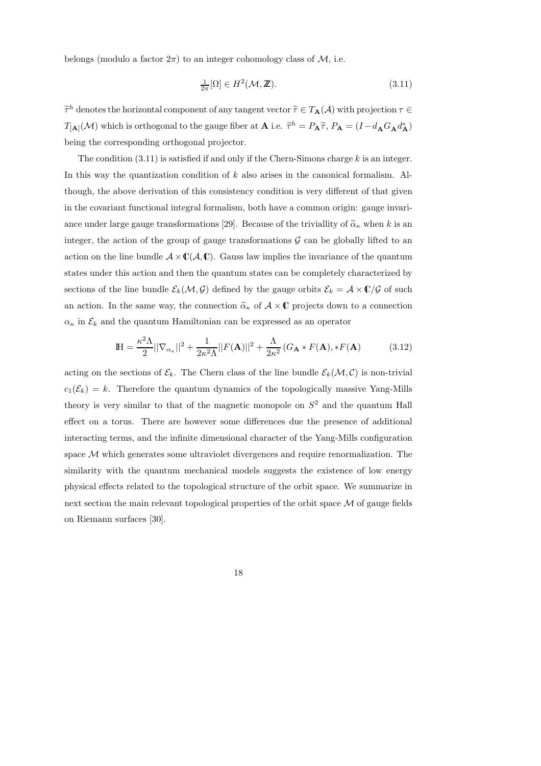belongs (modulo a factor  $2\pi$ ) to an integer cohomology class of M, i.e.

$$
\frac{1}{2\pi}[\Omega] \in H^2(\mathcal{M}, \mathbb{Z}).\tag{3.11}
$$

 $\tilde{\tau}^h$  denotes the horizontal component of any tangent vector  $\tilde{\tau} \in T_{\mathbf{A}}(\mathcal{A})$  with projection  $\tau \in$  $T_{[A]}(\mathcal{M})$  which is orthogonal to the gauge fiber at **A** i.e.  $\tilde{\tau}^h = P_A \tilde{\tau}$ ,  $P_A = (I - d_A G_A d_A^*)$ being the corresponding orthogonal projector.

The condition  $(3.11)$  is satisfied if and only if the Chern-Simons charge k is an integer. In this way the quantization condition of  $k$  also arises in the canonical formalism. Although, the above derivation of this consistency condition is very different of that given in the covariant functional integral formalism, both have a common origin: gauge invariance under large gauge transformations [29]. Because of the triviallity of  $\tilde{\alpha}_{\kappa}$  when k is an integer, the action of the group of gauge transformations  $\mathcal G$  can be globally lifted to an action on the line bundle  $A \times \mathbb{C}(\mathcal{A}, \mathbb{C})$ . Gauss law implies the invariance of the quantum states under this action and then the quantum states can be completely characterized by sections of the line bundle  $\mathcal{E}_k(\mathcal{M}, \mathcal{G})$  defined by the gauge orbits  $\mathcal{E}_k = \mathcal{A} \times \mathbb{C}/\mathcal{G}$  of such an action. In the same way, the connection  $\tilde{\alpha}_{\kappa}$  of  $\mathcal{A} \times \mathbb{C}$  projects down to a connection  $\alpha_{\kappa}$  in  $\mathcal{E}_{k}$  and the quantum Hamiltonian can be expressed as an operator

$$
\mathbb{H} = \frac{\kappa^2 \Lambda}{2} ||\nabla_{\alpha_{\kappa}}||^2 + \frac{1}{2\kappa^2 \Lambda} ||F(\mathbf{A})||^2 + \frac{\Lambda}{2\kappa^2} (G_{\mathbf{A}} * F(\mathbf{A}), *F(\mathbf{A})) \tag{3.12}
$$

acting on the sections of  $\mathcal{E}_k$ . The Chern class of the line bundle  $\mathcal{E}_k(\mathcal{M}, \mathcal{C})$  is non-trivial  $c_1(\mathcal{E}_k) = k$ . Therefore the quantum dynamics of the topologically massive Yang-Mills theory is very similar to that of the magnetic monopole on  $S<sup>2</sup>$  and the quantum Hall effect on a torus. There are however some differences due the presence of additional interacting terms, and the infinite dimensional character of the Yang-Mills configuration space  $\mathcal M$  which generates some ultraviolet divergences and require renormalization. The similarity with the quantum mechanical models suggests the existence of low energy physical effects related to the topological structure of the orbit space. We summarize in next section the main relevant topological properties of the orbit space M of gauge fields on Riemann surfaces [30].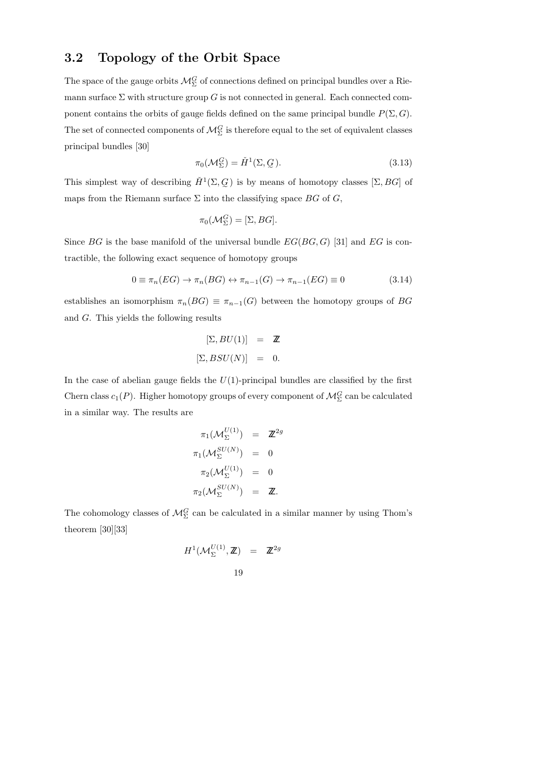## 3.2 Topology of the Orbit Space

The space of the gauge orbits  $\mathcal{M}_{\Sigma}^G$  of connections defined on principal bundles over a Riemann surface  $\Sigma$  with structure group G is not connected in general. Each connected component contains the orbits of gauge fields defined on the same principal bundle  $P(\Sigma, G)$ . The set of connected components of  $\mathcal{M}^G_{\Sigma}$  is therefore equal to the set of equivalent classes principal bundles [30]

$$
\pi_0(\mathcal{M}_{\Sigma}^G) = \check{H}^1(\Sigma, \mathcal{G}). \tag{3.13}
$$

This simplest way of describing  $\check{H}^1(\Sigma, \mathcal{G})$  is by means of homotopy classes  $[\Sigma, BG]$  of maps from the Riemann surface  $\Sigma$  into the classifying space  $BG$  of  $G$ ,

$$
\pi_0(\mathcal{M}_{\Sigma}^G) = [\Sigma, BG].
$$

Since BG is the base manifold of the universal bundle  $EG(BG, G)$  [31] and EG is contractible, the following exact sequence of homotopy groups

$$
0 \equiv \pi_n(EG) \to \pi_n(BG) \leftrightarrow \pi_{n-1}(G) \to \pi_{n-1}(EG) \equiv 0 \tag{3.14}
$$

establishes an isomorphism  $\pi_n(BG) \equiv \pi_{n-1}(G)$  between the homotopy groups of BG and G. This yields the following results

$$
[\Sigma, BU(1)] = \mathbb{Z}
$$
  

$$
[\Sigma, BSU(N)] = 0.
$$

In the case of abelian gauge fields the  $U(1)$ -principal bundles are classified by the first Chern class  $c_1(P)$ . Higher homotopy groups of every component of  $\mathcal{M}_{\Sigma}^G$  can be calculated in a similar way. The results are

$$
\pi_1(\mathcal{M}_{\Sigma}^{U(1)}) = \mathbb{Z}^{2g}
$$

$$
\pi_1(\mathcal{M}_{\Sigma}^{SU(N)}) = 0
$$

$$
\pi_2(\mathcal{M}_{\Sigma}^{U(1)}) = 0
$$

$$
\pi_2(\mathcal{M}_{\Sigma}^{SU(N)}) = \mathbb{Z}.
$$

The cohomology classes of  $\mathcal{M}_{\Sigma}^G$  can be calculated in a similar manner by using Thom's theorem [30][33]

$$
H^{1}(\mathcal{M}_{\Sigma}^{U(1)}, \mathbb{Z}) = \mathbb{Z}^{2g}
$$
  
19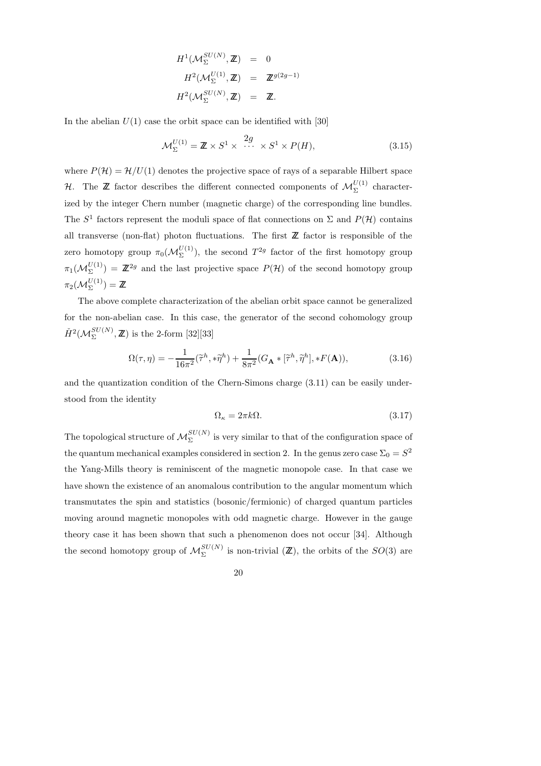$$
H^{1}(\mathcal{M}_{\Sigma}^{SU(N)}, \mathbb{Z}) = 0
$$
  

$$
H^{2}(\mathcal{M}_{\Sigma}^{U(1)}, \mathbb{Z}) = \mathbb{Z}^{g(2g-1)}
$$
  

$$
H^{2}(\mathcal{M}_{\Sigma}^{SU(N)}, \mathbb{Z}) = \mathbb{Z}.
$$

In the abelian  $U(1)$  case the orbit space can be identified with [30]

$$
\mathcal{M}_{\Sigma}^{U(1)} = \mathbb{Z} \times S^1 \times \cdots \times S^1 \times P(H), \tag{3.15}
$$

where  $P(\mathcal{H}) = \mathcal{H}/U(1)$  denotes the projective space of rays of a separable Hilbert space H. The **Z** factor describes the different connected components of  $\mathcal{M}_{\Sigma}^{U(1)}$  characterized by the integer Chern number (magnetic charge) of the corresponding line bundles. The  $S^1$  factors represent the moduli space of flat connections on  $\Sigma$  and  $P(\mathcal{H})$  contains all transverse (non-flat) photon fluctuations. The first  $\mathbb Z$  factor is responsible of the zero homotopy group  $\pi_0(\mathcal{M}_{\Sigma}^{U(1)})$ , the second  $T^{2g}$  factor of the first homotopy group  $\pi_1(\mathcal{M}_{\Sigma}^{U(1)}) = \mathbb{Z}^{2g}$  and the last projective space  $P(\mathcal{H})$  of the second homotopy group  $\pi_2(\mathcal{M}^{U(1)}_{\Sigma}) = \mathbb{Z}$ 

The above complete characterization of the abelian orbit space cannot be generalized for the non-abelian case. In this case, the generator of the second cohomology group  $\check{H}^{2}(\mathcal{M}_{\Sigma}^{SU(N)},\mathbb{Z})$  is the 2-form [32][33]

$$
\Omega(\tau,\eta) = -\frac{1}{16\pi^2}(\tilde{\tau}^h, * \tilde{\eta}^h) + \frac{1}{8\pi^2} (G_{\mathbf{A}} * [\tilde{\tau}^h, \tilde{\eta}^h], *F(\mathbf{A})),\tag{3.16}
$$

and the quantization condition of the Chern-Simons charge (3.11) can be easily understood from the identity

$$
\Omega_{\kappa} = 2\pi k \Omega. \tag{3.17}
$$

The topological structure of  $\mathcal{M}_{\Sigma}^{SU(N)}$  is very similar to that of the configuration space of the quantum mechanical examples considered in section 2. In the genus zero case  $\Sigma_0 = S^2$ the Yang-Mills theory is reminiscent of the magnetic monopole case. In that case we have shown the existence of an anomalous contribution to the angular momentum which transmutates the spin and statistics (bosonic/fermionic) of charged quantum particles moving around magnetic monopoles with odd magnetic charge. However in the gauge theory case it has been shown that such a phenomenon does not occur [34]. Although the second homotopy group of  $\mathcal{M}_{\Sigma}^{SU(N)}$  is non-trivial  $(\mathbb{Z})$ , the orbits of the  $SO(3)$  are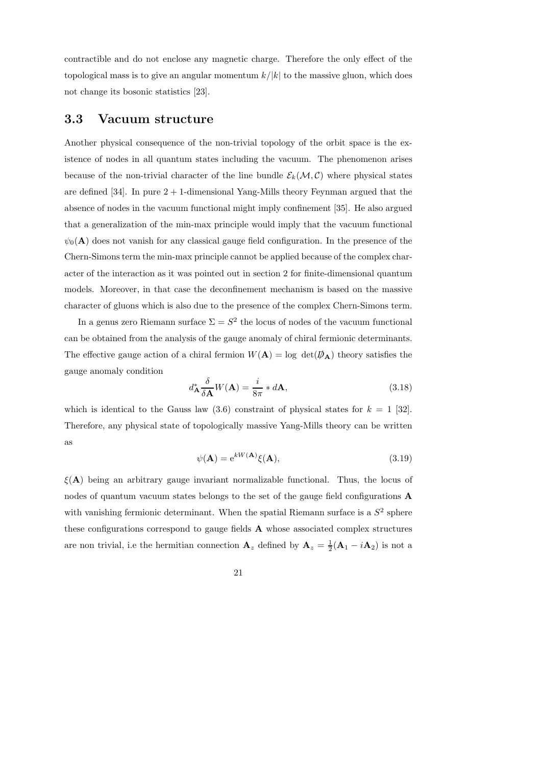contractible and do not enclose any magnetic charge. Therefore the only effect of the topological mass is to give an angular momentum  $k/|k|$  to the massive gluon, which does not change its bosonic statistics [23].

#### 3.3 Vacuum structure

Another physical consequence of the non-trivial topology of the orbit space is the existence of nodes in all quantum states including the vacuum. The phenomenon arises because of the non-trivial character of the line bundle  $\mathcal{E}_k(\mathcal{M}, \mathcal{C})$  where physical states are defined [34]. In pure 2 + 1-dimensional Yang-Mills theory Feynman argued that the absence of nodes in the vacuum functional might imply confinement [35]. He also argued that a generalization of the min-max principle would imply that the vacuum functional  $\psi_0(\mathbf{A})$  does not vanish for any classical gauge field configuration. In the presence of the Chern-Simons term the min-max principle cannot be applied because of the complex character of the interaction as it was pointed out in section 2 for finite-dimensional quantum models. Moreover, in that case the deconfinement mechanism is based on the massive character of gluons which is also due to the presence of the complex Chern-Simons term.

In a genus zero Riemann surface  $\Sigma = S^2$  the locus of nodes of the vacuum functional can be obtained from the analysis of the gauge anomaly of chiral fermionic determinants. The effective gauge action of a chiral fermion  $W(\mathbf{A}) = \log \det(\phi_{\mathbf{A}})$  theory satisfies the gauge anomaly condition

$$
d_{\mathbf{A}}^* \frac{\delta}{\delta \mathbf{A}} W(\mathbf{A}) = \frac{i}{8\pi} * d\mathbf{A},\tag{3.18}
$$

which is identical to the Gauss law  $(3.6)$  constraint of physical states for  $k = 1$  [32]. Therefore, any physical state of topologically massive Yang-Mills theory can be written as

$$
\psi(\mathbf{A}) = e^{kW(\mathbf{A})}\xi(\mathbf{A}),\tag{3.19}
$$

 $\xi(A)$  being an arbitrary gauge invariant normalizable functional. Thus, the locus of nodes of quantum vacuum states belongs to the set of the gauge field configurations A with vanishing fermionic determinant. When the spatial Riemann surface is a  $S<sup>2</sup>$  sphere these configurations correspond to gauge fields A whose associated complex structures are non trivial, i.e the hermitian connection  $\mathbf{A}_z$  defined by  $\mathbf{A}_z = \frac{1}{2}(\mathbf{A}_1 - i\mathbf{A}_2)$  is not a

21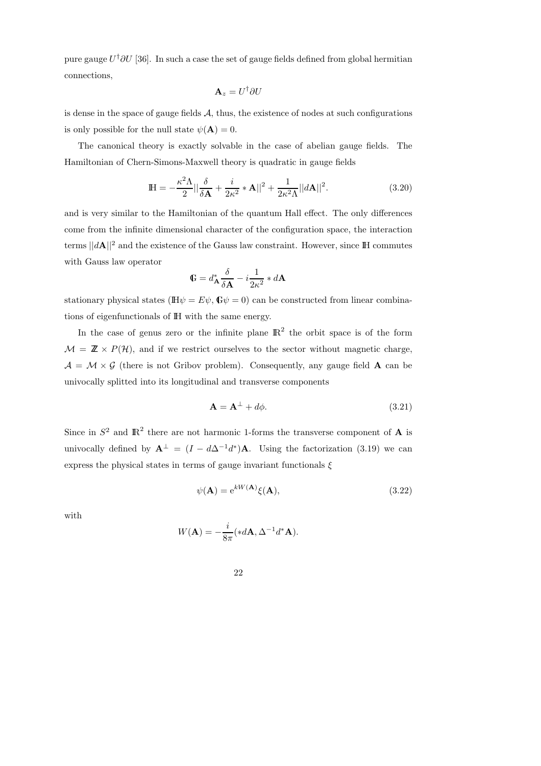pure gauge  $U^{\dagger}\partial U$  [36]. In such a case the set of gauge fields defined from global hermitian connections,

$$
\mathbf{A}_z = U^\dagger \partial U
$$

is dense in the space of gauge fields  $A$ , thus, the existence of nodes at such configurations is only possible for the null state  $\psi(\mathbf{A}) = 0$ .

The canonical theory is exactly solvable in the case of abelian gauge fields. The Hamiltonian of Chern-Simons-Maxwell theory is quadratic in gauge fields

$$
\mathbb{H} = -\frac{\kappa^2 \Lambda}{2} ||\frac{\delta}{\delta \mathbf{A}} + \frac{i}{2\kappa^2} * \mathbf{A}||^2 + \frac{1}{2\kappa^2 \Lambda} ||d\mathbf{A}||^2.
$$
 (3.20)

and is very similar to the Hamiltonian of the quantum Hall effect. The only differences come from the infinite dimensional character of the configuration space, the interaction terms  $||dA||^2$  and the existence of the Gauss law constraint. However, since IH commutes with Gauss law operator

$$
\mathbb{G} = d^*_{\mathbf{A}} \frac{\delta}{\delta \mathbf{A}} - i \frac{1}{2\kappa^2} * d\mathbf{A}
$$

stationary physical states ( $\mathbb{H}\psi = E\psi$ ,  $\mathbb{G}\psi = 0$ ) can be constructed from linear combinations of eigenfunctionals of IH with the same energy.

In the case of genus zero or the infinite plane  $\mathbb{R}^2$  the orbit space is of the form  $\mathcal{M} = \mathbb{Z} \times P(\mathcal{H})$ , and if we restrict ourselves to the sector without magnetic charge,  $A = \mathcal{M} \times \mathcal{G}$  (there is not Gribov problem). Consequently, any gauge field **A** can be univocally splitted into its longitudinal and transverse components

$$
\mathbf{A} = \mathbf{A}^{\perp} + d\phi. \tag{3.21}
$$

Since in  $S^2$  and  $\mathbb{R}^2$  there are not harmonic 1-forms the transverse component of **A** is univocally defined by  $\mathbf{A}^{\perp} = (I - d\Delta^{-1}d^*)\mathbf{A}$ . Using the factorization (3.19) we can express the physical states in terms of gauge invariant functionals  $\xi$ 

$$
\psi(\mathbf{A}) = e^{kW(\mathbf{A})}\xi(\mathbf{A}),\tag{3.22}
$$

with

$$
W(\mathbf{A}) = -\frac{i}{8\pi} (*d\mathbf{A}, \Delta^{-1}d^*\mathbf{A}).
$$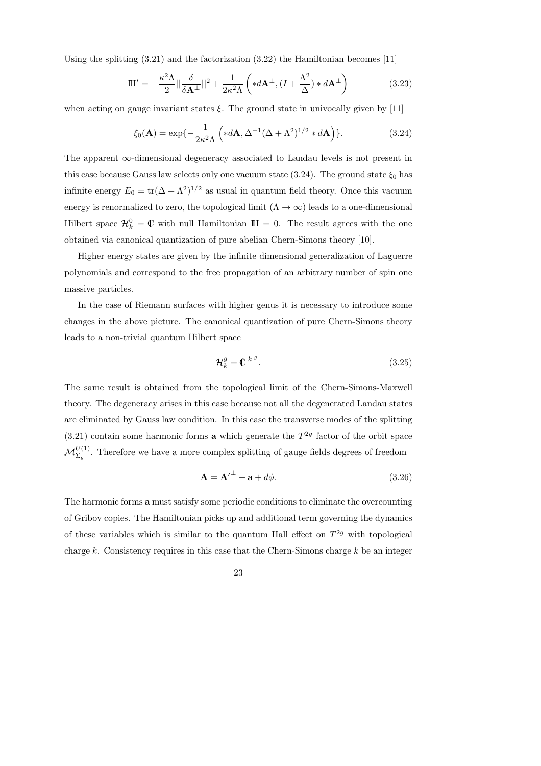Using the splitting  $(3.21)$  and the factorization  $(3.22)$  the Hamiltonian becomes [11]

$$
\mathbb{H}' = -\frac{\kappa^2 \Lambda}{2} ||\frac{\delta}{\delta \mathbf{A}^{\perp}}||^2 + \frac{1}{2\kappa^2 \Lambda} \left( *d\mathbf{A}^{\perp}, (I + \frac{\Lambda^2}{\Delta}) * d\mathbf{A}^{\perp} \right)
$$
(3.23)

when acting on gauge invariant states  $\xi$ . The ground state in univocally given by [11]

$$
\xi_0(\mathbf{A}) = \exp\{-\frac{1}{2\kappa^2\Lambda} \left(*d\mathbf{A}, \Delta^{-1}(\Delta+\Lambda^2)^{1/2} * d\mathbf{A}\right)\}.
$$
 (3.24)

The apparent ∞-dimensional degeneracy associated to Landau levels is not present in this case because Gauss law selects only one vacuum state (3.24). The ground state  $\xi_0$  has infinite energy  $E_0 = \text{tr}(\Delta + \Lambda^2)^{1/2}$  as usual in quantum field theory. Once this vacuum energy is renormalized to zero, the topological limit  $(\Lambda \to \infty)$  leads to a one-dimensional Hilbert space  $\mathcal{H}_k^0 = \mathbb{C}$  with null Hamiltonian  $\mathbb{H} = 0$ . The result agrees with the one obtained via canonical quantization of pure abelian Chern-Simons theory [10].

Higher energy states are given by the infinite dimensional generalization of Laguerre polynomials and correspond to the free propagation of an arbitrary number of spin one massive particles.

In the case of Riemann surfaces with higher genus it is necessary to introduce some changes in the above picture. The canonical quantization of pure Chern-Simons theory leads to a non-trivial quantum Hilbert space

$$
\mathcal{H}_k^g = \mathbb{C}^{|k|^g}.\tag{3.25}
$$

The same result is obtained from the topological limit of the Chern-Simons-Maxwell theory. The degeneracy arises in this case because not all the degenerated Landau states are eliminated by Gauss law condition. In this case the transverse modes of the splitting  $(3.21)$  contain some harmonic forms **a** which generate the  $T^{2g}$  factor of the orbit space  $\mathcal{M}_{\Sigma_g}^{U(1)}$ . Therefore we have a more complex splitting of gauge fields degrees of freedom

$$
\mathbf{A} = \mathbf{A'}^{\perp} + \mathbf{a} + d\phi. \tag{3.26}
$$

The harmonic forms a must satisfy some periodic conditions to eliminate the overcounting of Gribov copies. The Hamiltonian picks up and additional term governing the dynamics of these variables which is similar to the quantum Hall effect on  $T^{2g}$  with topological charge k. Consistency requires in this case that the Chern-Simons charge  $k$  be an integer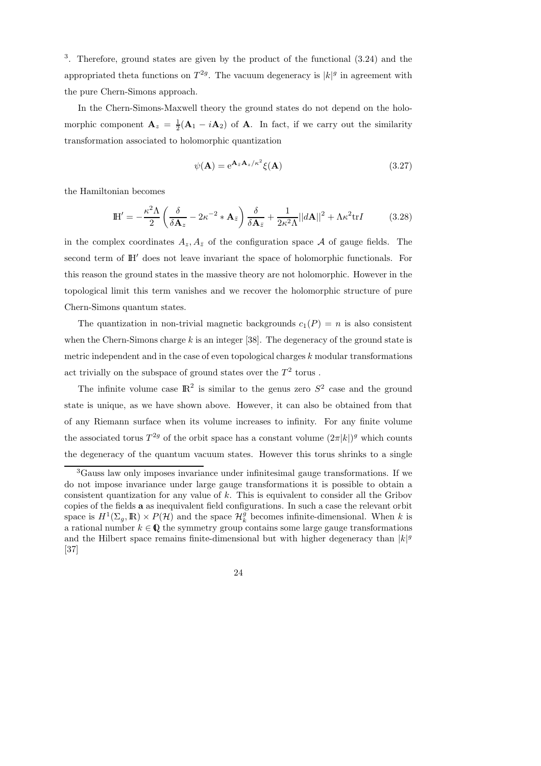3 . Therefore, ground states are given by the product of the functional (3.24) and the appropriated theta functions on  $T^{2g}$ . The vacuum degeneracy is  $|k|^g$  in agreement with the pure Chern-Simons approach.

In the Chern-Simons-Maxwell theory the ground states do not depend on the holomorphic component  $\mathbf{A}_z = \frac{1}{2}(\mathbf{A}_1 - i\mathbf{A}_2)$  of  $\mathbf{A}$ . In fact, if we carry out the similarity transformation associated to holomorphic quantization

$$
\psi(\mathbf{A}) = e^{\mathbf{A}_{z} \mathbf{A}_{z}/\kappa^{2}} \xi(\mathbf{A}) \tag{3.27}
$$

the Hamiltonian becomes

$$
\mathbb{H}' = -\frac{\kappa^2 \Lambda}{2} \left( \frac{\delta}{\delta \mathbf{A}_z} - 2\kappa^{-2} * \mathbf{A}_{\bar{z}} \right) \frac{\delta}{\delta \mathbf{A}_{\bar{z}}} + \frac{1}{2\kappa^2 \Lambda} ||d\mathbf{A}||^2 + \Lambda \kappa^2 \text{tr} I \tag{3.28}
$$

in the complex coordinates  $A_z, A_{\bar{z}}$  of the configuration space A of gauge fields. The second term of IH′ does not leave invariant the space of holomorphic functionals. For this reason the ground states in the massive theory are not holomorphic. However in the topological limit this term vanishes and we recover the holomorphic structure of pure Chern-Simons quantum states.

The quantization in non-trivial magnetic backgrounds  $c_1(P) = n$  is also consistent when the Chern-Simons charge  $k$  is an integer [38]. The degeneracy of the ground state is metric independent and in the case of even topological charges  $k$  modular transformations act trivially on the subspace of ground states over the  $T^2$  torus.

The infinite volume case  $\mathbb{R}^2$  is similar to the genus zero  $S^2$  case and the ground state is unique, as we have shown above. However, it can also be obtained from that of any Riemann surface when its volume increases to infinity. For any finite volume the associated torus  $T^{2g}$  of the orbit space has a constant volume  $(2\pi |k|)^g$  which counts the degeneracy of the quantum vacuum states. However this torus shrinks to a single

<sup>3</sup>Gauss law only imposes invariance under infinitesimal gauge transformations. If we do not impose invariance under large gauge transformations it is possible to obtain a consistent quantization for any value of k. This is equivalent to consider all the Gribov copies of the fields a as inequivalent field configurations. In such a case the relevant orbit space is  $H^1(\Sigma_g, \mathbb{R}) \times P(\mathcal{H})$  and the space  $\mathcal{H}_k^g$  becomes infinite-dimensional. When k is a rational number  $k \in \mathbb{Q}$  the symmetry group contains some large gauge transformations and the Hilbert space remains finite-dimensional but with higher degeneracy than  $|k|^g$ [37]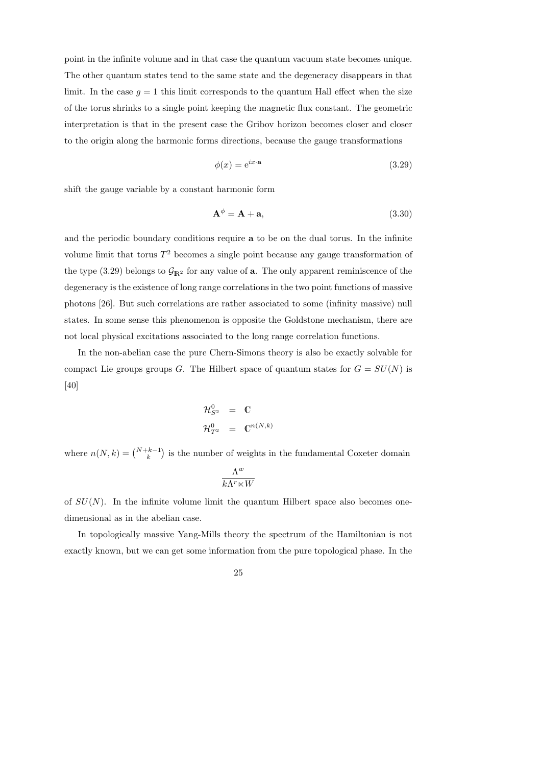point in the infinite volume and in that case the quantum vacuum state becomes unique. The other quantum states tend to the same state and the degeneracy disappears in that limit. In the case  $g = 1$  this limit corresponds to the quantum Hall effect when the size of the torus shrinks to a single point keeping the magnetic flux constant. The geometric interpretation is that in the present case the Gribov horizon becomes closer and closer to the origin along the harmonic forms directions, because the gauge transformations

$$
\phi(x) = e^{ix \cdot a} \tag{3.29}
$$

shift the gauge variable by a constant harmonic form

$$
\mathbf{A}^{\phi} = \mathbf{A} + \mathbf{a},\tag{3.30}
$$

and the periodic boundary conditions require a to be on the dual torus. In the infinite volume limit that torus  $T^2$  becomes a single point because any gauge transformation of the type (3.29) belongs to  $\mathcal{G}_{\mathbb{R}^2}$  for any value of **a**. The only apparent reminiscence of the degeneracy is the existence of long range correlations in the two point functions of massive photons [26]. But such correlations are rather associated to some (infinity massive) null states. In some sense this phenomenon is opposite the Goldstone mechanism, there are not local physical excitations associated to the long range correlation functions.

In the non-abelian case the pure Chern-Simons theory is also be exactly solvable for compact Lie groups groups G. The Hilbert space of quantum states for  $G = SU(N)$  is [40]

$$
\mathcal{H}_{S^2}^0 = \mathbb{C}
$$
  

$$
\mathcal{H}_{T^2}^0 = \mathbb{C}^{n(N,k)}
$$

where  $n(N, k) = \binom{N+k-1}{k}$  is the number of weights in the fundamental Coxeter domain

$$
\frac{\Lambda^w}{k\Lambda^r\ltimes W}
$$

of  $SU(N)$ . In the infinite volume limit the quantum Hilbert space also becomes onedimensional as in the abelian case.

In topologically massive Yang-Mills theory the spectrum of the Hamiltonian is not exactly known, but we can get some information from the pure topological phase. In the

$$
^{25}
$$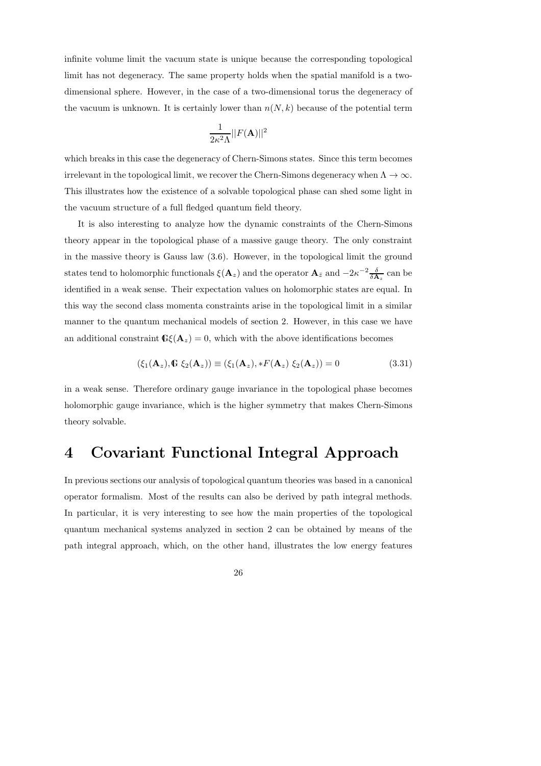infinite volume limit the vacuum state is unique because the corresponding topological limit has not degeneracy. The same property holds when the spatial manifold is a twodimensional sphere. However, in the case of a two-dimensional torus the degeneracy of the vacuum is unknown. It is certainly lower than  $n(N, k)$  because of the potential term

$$
\frac{1}{2\kappa^2\Lambda}||F(\mathbf{A})||^2
$$

which breaks in this case the degeneracy of Chern-Simons states. Since this term becomes irrelevant in the topological limit, we recover the Chern-Simons degeneracy when  $\Lambda \to \infty$ . This illustrates how the existence of a solvable topological phase can shed some light in the vacuum structure of a full fledged quantum field theory.

It is also interesting to analyze how the dynamic constraints of the Chern-Simons theory appear in the topological phase of a massive gauge theory. The only constraint in the massive theory is Gauss law (3.6). However, in the topological limit the ground states tend to holomorphic functionals  $\xi(\mathbf{A}_z)$  and the operator  $\mathbf{A}_{\bar{z}}$  and  $-2\kappa^{-2}\frac{\delta}{\delta \mathbf{A}_z}$  can be identified in a weak sense. Their expectation values on holomorphic states are equal. In this way the second class momenta constraints arise in the topological limit in a similar manner to the quantum mechanical models of section 2. However, in this case we have an additional constraint  $\mathbb{G}\left(\mathbf{A}_z\right)=0$ , which with the above identifications becomes

$$
(\xi_1(\mathbf{A}_z), \mathbf{G}\ \xi_2(\mathbf{A}_z)) \equiv (\xi_1(\mathbf{A}_z), *F(\mathbf{A}_z)\ \xi_2(\mathbf{A}_z)) = 0 \tag{3.31}
$$

in a weak sense. Therefore ordinary gauge invariance in the topological phase becomes holomorphic gauge invariance, which is the higher symmetry that makes Chern-Simons theory solvable.

## 4 Covariant Functional Integral Approach

In previous sections our analysis of topological quantum theories was based in a canonical operator formalism. Most of the results can also be derived by path integral methods. In particular, it is very interesting to see how the main properties of the topological quantum mechanical systems analyzed in section 2 can be obtained by means of the path integral approach, which, on the other hand, illustrates the low energy features

26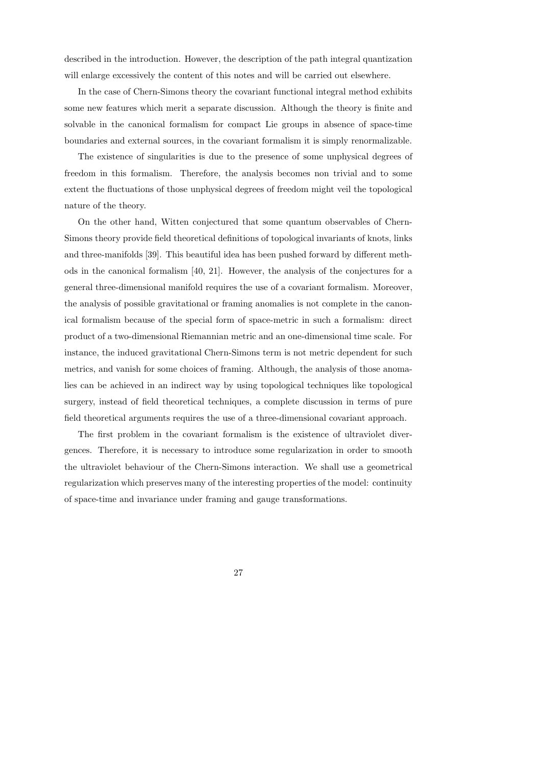described in the introduction. However, the description of the path integral quantization will enlarge excessively the content of this notes and will be carried out elsewhere.

In the case of Chern-Simons theory the covariant functional integral method exhibits some new features which merit a separate discussion. Although the theory is finite and solvable in the canonical formalism for compact Lie groups in absence of space-time boundaries and external sources, in the covariant formalism it is simply renormalizable.

The existence of singularities is due to the presence of some unphysical degrees of freedom in this formalism. Therefore, the analysis becomes non trivial and to some extent the fluctuations of those unphysical degrees of freedom might veil the topological nature of the theory.

On the other hand, Witten conjectured that some quantum observables of Chern-Simons theory provide field theoretical definitions of topological invariants of knots, links and three-manifolds [39]. This beautiful idea has been pushed forward by different methods in the canonical formalism [40, 21]. However, the analysis of the conjectures for a general three-dimensional manifold requires the use of a covariant formalism. Moreover, the analysis of possible gravitational or framing anomalies is not complete in the canonical formalism because of the special form of space-metric in such a formalism: direct product of a two-dimensional Riemannian metric and an one-dimensional time scale. For instance, the induced gravitational Chern-Simons term is not metric dependent for such metrics, and vanish for some choices of framing. Although, the analysis of those anomalies can be achieved in an indirect way by using topological techniques like topological surgery, instead of field theoretical techniques, a complete discussion in terms of pure field theoretical arguments requires the use of a three-dimensional covariant approach.

The first problem in the covariant formalism is the existence of ultraviolet divergences. Therefore, it is necessary to introduce some regularization in order to smooth the ultraviolet behaviour of the Chern-Simons interaction. We shall use a geometrical regularization which preserves many of the interesting properties of the model: continuity of space-time and invariance under framing and gauge transformations.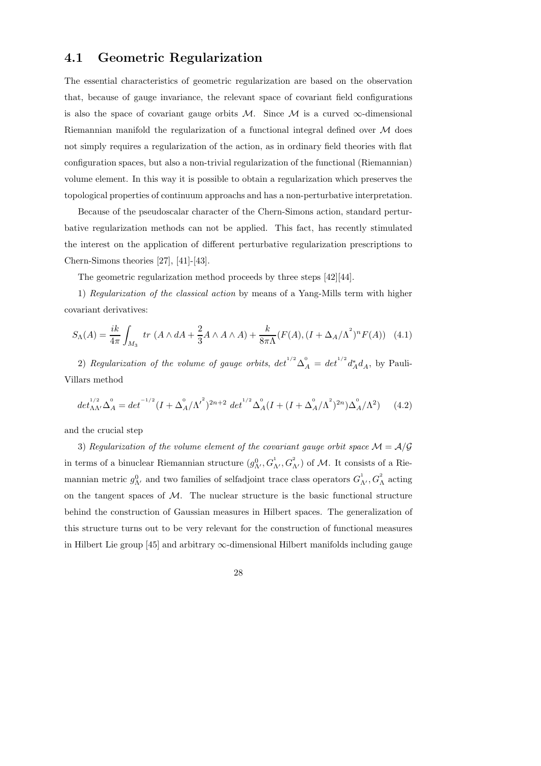## 4.1 Geometric Regularization

The essential characteristics of geometric regularization are based on the observation that, because of gauge invariance, the relevant space of covariant field configurations is also the space of covariant gauge orbits  $M$ . Since  $M$  is a curved  $\infty$ -dimensional Riemannian manifold the regularization of a functional integral defined over  $M$  does not simply requires a regularization of the action, as in ordinary field theories with flat configuration spaces, but also a non-trivial regularization of the functional (Riemannian) volume element. In this way it is possible to obtain a regularization which preserves the topological properties of continuum approachs and has a non-perturbative interpretation.

Because of the pseudoscalar character of the Chern-Simons action, standard perturbative regularization methods can not be applied. This fact, has recently stimulated the interest on the application of different perturbative regularization prescriptions to Chern-Simons theories [27], [41]-[43].

The geometric regularization method proceeds by three steps [42][44].

1) Regularization of the classical action by means of a Yang-Mills term with higher covariant derivatives:

$$
S_{\Lambda}(A) = \frac{ik}{4\pi} \int_{M_3} \ tr \ (A \wedge dA + \frac{2}{3}A \wedge A \wedge A) + \frac{k}{8\pi\Lambda} (F(A), (I + \Delta_A/\Lambda^2)^n F(A)) \tag{4.1}
$$

2) Regularization of the volume of gauge orbits,  $det^{1/2} \Delta_A^0 = det^{1/2} d_A^* d_A$ , by Pauli-Villars method

$$
det_{\Lambda\Lambda'}^{1/2} \Delta_A^0 = det^{-1/2} (I + \Delta_A^0 / \Lambda'^2)^{2n+2} det^{1/2} \Delta_A^0 (I + (I + \Delta_A^0 / \Lambda^2)^{2n}) \Delta_A^0 / \Lambda^2)
$$
 (4.2)

and the crucial step

3) Regularization of the volume element of the covariant gauge orbit space  $\mathcal{M} = \mathcal{A}/\mathcal{G}$ in terms of a binuclear Riemannian structure  $(g_{\Lambda'}^0, G_{\Lambda'}^1, G_{\Lambda'}^2)$  of  $M$ . It consists of a Riemannian metric  $g_{\Lambda'}^0$  and two families of selfadjoint trace class operators  $G_{\Lambda'}^1, G_{\Lambda}^2$  acting on the tangent spaces of  $M$ . The nuclear structure is the basic functional structure behind the construction of Gaussian measures in Hilbert spaces. The generalization of this structure turns out to be very relevant for the construction of functional measures in Hilbert Lie group  $[45]$  and arbitrary  $\infty$ -dimensional Hilbert manifolds including gauge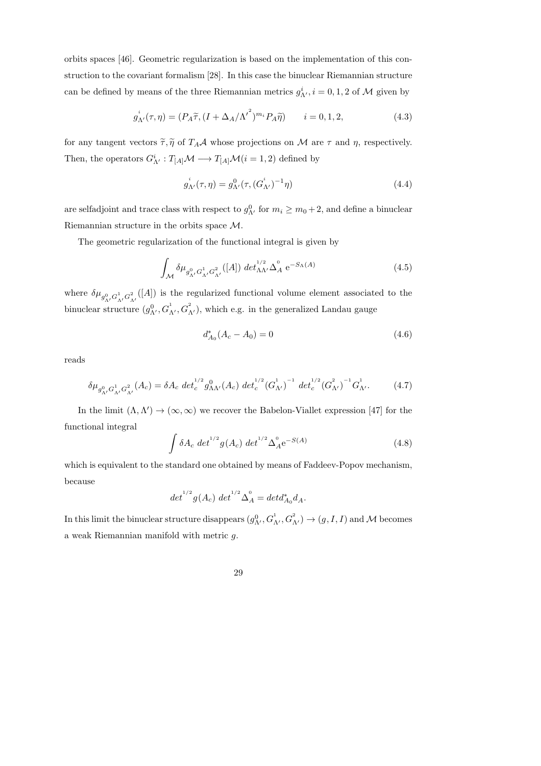orbits spaces [46]. Geometric regularization is based on the implementation of this construction to the covariant formalism [28]. In this case the binuclear Riemannian structure can be defined by means of the three Riemannian metrics  $g^i_{\Lambda'}, i = 0, 1, 2$  of  $\mathcal M$  given by

$$
g_{\Lambda'}^i(\tau,\eta) = (P_A \widetilde{\tau}, (I + \Delta_A/\Lambda^{\prime^2})^{m_i} P_A \widetilde{\eta}) \qquad i = 0, 1, 2,
$$
\n(4.3)

for any tangent vectors  $\tilde{\tau}, \tilde{\eta}$  of  $T_A \mathcal{A}$  whose projections on  $\mathcal{M}$  are  $\tau$  and  $\eta$ , respectively. Then, the operators  $G_N^i : T_{[A]} \mathcal{M} \longrightarrow T_{[A]} \mathcal{M}(i = 1, 2)$  defined by

$$
g_{\Lambda'}^{i}(\tau,\eta) = g_{\Lambda'}^{0}(\tau,(G_{\Lambda'}^{i})^{-1}\eta)
$$
\n(4.4)

are selfadjoint and trace class with respect to  $g_{\Lambda'}^0$  for  $m_i \ge m_0 + 2$ , and define a binuclear Riemannian structure in the orbits space M.

The geometric regularization of the functional integral is given by

$$
\int_{\mathcal{M}} \delta \mu_{g_{\Lambda'}^0 G_{\Lambda'}^1} G_{\Lambda'}^2([A]) \, \det_{\Lambda\Lambda'}^{1/2} \Delta_A^0 \, e^{-S_{\Lambda}(A)} \tag{4.5}
$$

where  $\delta\mu_{g^0_{\Lambda'}G^1_{\Lambda'}G^2_{\Lambda'}}([A])$  is the regularized functional volume element associated to the binuclear structure  $(g_{\Lambda'}^0, G_{\Lambda'}^1, G_{\Lambda'}^2)$ , which e.g. in the generalized Landau gauge

$$
d_{A_0}^*(A_c - A_0) = 0 \tag{4.6}
$$

reads

$$
\delta \mu_{g_{\Lambda'}^0 G_{\Lambda'}^1}^2 (A_c) = \delta A_c \, \det_c^{1/2} g_{\Lambda \Lambda'}^0 (A_c) \, \det_c^{1/2} (G_{\Lambda'}^1)^{-1} \, \det_c^{1/2} (G_{\Lambda'}^2)^{-1} G_{\Lambda'}^1. \tag{4.7}
$$

In the limit  $(\Lambda, \Lambda') \to (\infty, \infty)$  we recover the Babelon-Viallet expression [47] for the functional integral

$$
\int \delta A_c \, \det^{1/2} g(A_c) \, \det^{1/2} \Delta_A^0 e^{-S(A)} \tag{4.8}
$$

which is equivalent to the standard one obtained by means of Faddeev-Popov mechanism, because

$$
det^{1/2}g(A_c) det^{1/2} \Delta_A^0 = det d_{A_0}^* d_A.
$$

In this limit the binuclear structure disappears  $(g_{\Lambda'}^0, G_{\Lambda'}^1, G_{\Lambda'}^2) \to (g, I, I)$  and M becomes a weak Riemannian manifold with metric g.

29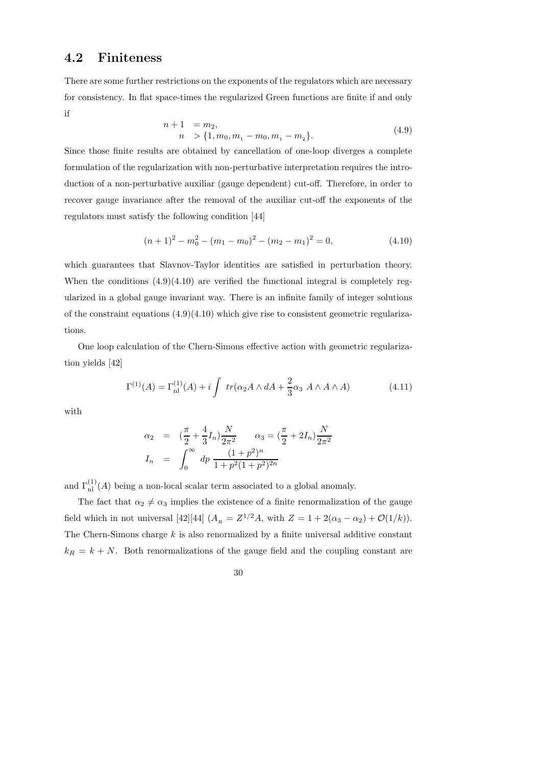### 4.2 Finiteness

There are some further restrictions on the exponents of the regulators which are necessary for consistency. In flat space-times the regularized Green functions are finite if and only if

$$
n+1 = m_2,
$$
  
\n
$$
n > \{1, m_0, m_1 - m_0, m_1 - m_2\}.
$$
\n(4.9)

Since those finite results are obtained by cancellation of one-loop diverges a complete formulation of the regularization with non-perturbative interpretation requires the introduction of a non-perturbative auxiliar (gauge dependent) cut-off. Therefore, in order to recover gauge invariance after the removal of the auxiliar cut-off the exponents of the regulators must satisfy the following condition [44]

$$
(n+1)2 - m02 - (m1 - m0)2 - (m2 - m1)2 = 0,
$$
\n(4.10)

which guarantees that Slavnov-Taylor identities are satisfied in perturbation theory. When the conditions  $(4.9)(4.10)$  are verified the functional integral is completely regularized in a global gauge invariant way. There is an infinite family of integer solutions of the constraint equations  $(4.9)(4.10)$  which give rise to consistent geometric regularizations.

One loop calculation of the Chern-Simons effective action with geometric regularization yields [42]

$$
\Gamma^{(1)}(A) = \Gamma_{\rm nl}^{(1)}(A) + i \int tr(\alpha_2 A \wedge dA + \frac{2}{3} \alpha_3 A \wedge A \wedge A) \tag{4.11}
$$

with

$$
\alpha_2 = (\frac{\pi}{2} + \frac{4}{3}I_n) \frac{N}{2\pi^2} \qquad \alpha_3 = (\frac{\pi}{2} + 2I_n) \frac{N}{2\pi^2}
$$

$$
I_n = \int_0^\infty dp \frac{(1+p^2)^n}{1+p^2(1+p^2)^{2n}}
$$

and  $\Gamma_{\rm nl}^{(1)}(A)$  being a non-local scalar term associated to a global anomaly.

The fact that  $\alpha_2 \neq \alpha_3$  implies the existence of a finite renormalization of the gauge field which in not universal [42][44]  $(A_R = Z^{1/2}A$ , with  $Z = 1 + 2(\alpha_3 - \alpha_2) + \mathcal{O}(1/k)$ . The Chern-Simons charge  $k$  is also renormalized by a finite universal additive constant  $k_R = k + N$ . Both renormalizations of the gauge field and the coupling constant are

30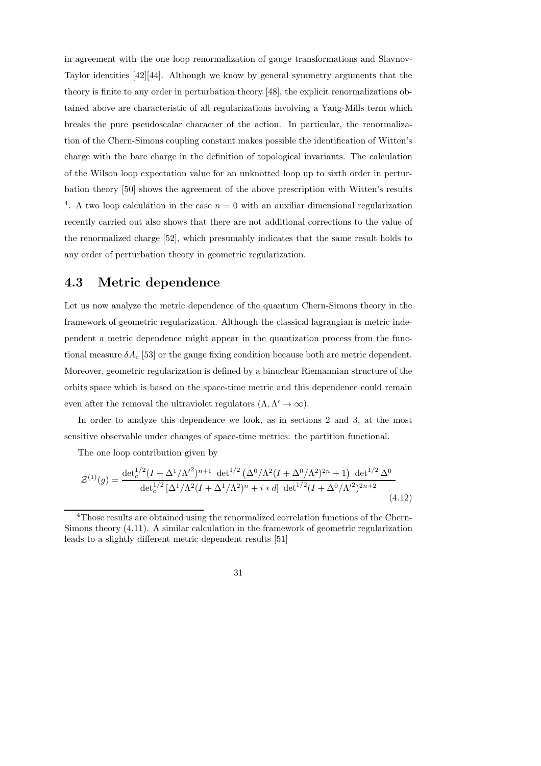in agreement with the one loop renormalization of gauge transformations and Slavnov-Taylor identities [42][44]. Although we know by general symmetry arguments that the theory is finite to any order in perturbation theory [48], the explicit renormalizations obtained above are characteristic of all regularizations involving a Yang-Mills term which breaks the pure pseudoscalar character of the action. In particular, the renormalization of the Chern-Simons coupling constant makes possible the identification of Witten's charge with the bare charge in the definition of topological invariants. The calculation of the Wilson loop expectation value for an unknotted loop up to sixth order in perturbation theory [50] shows the agreement of the above prescription with Witten's results <sup>4</sup>. A two loop calculation in the case  $n = 0$  with an auxiliar dimensional regularization recently carried out also shows that there are not additional corrections to the value of the renormalized charge [52], which presumably indicates that the same result holds to any order of perturbation theory in geometric regularization.

#### 4.3 Metric dependence

Let us now analyze the metric dependence of the quantum Chern-Simons theory in the framework of geometric regularization. Although the classical lagrangian is metric independent a metric dependence might appear in the quantization process from the functional measure  $\delta A_c$  [53] or the gauge fixing condition because both are metric dependent. Moreover, geometric regularization is defined by a binuclear Riemannian structure of the orbits space which is based on the space-time metric and this dependence could remain even after the removal the ultraviolet regulators  $(\Lambda, \Lambda' \to \infty)$ .

In order to analyze this dependence we look, as in sections 2 and 3, at the most sensitive observable under changes of space-time metrics: the partition functional.

The one loop contribution given by

$$
\mathcal{Z}^{(1)}(g) = \frac{\det_c^{1/2} (I + \Delta^1/\Lambda'^2)^{n+1} \ \det^{1/2} \left(\Delta^0/\Lambda^2 (I + \Delta^0/\Lambda^2)^{2n} + 1\right) \ \det^{1/2} \Delta^0}{\det_c^{1/2} \left[\Delta^1/\Lambda^2 (I + \Delta^1/\Lambda^2)^n + i \ast d\right] \ \det^{1/2} (I + \Delta^0/\Lambda'^2)^{2n+2}} \tag{4.12}
$$

 $^{4}$ Those results are obtained using the renormalized correlation functions of the Chern-Simons theory (4.11). A similar calculation in the framework of geometric regularization leads to a slightly different metric dependent results [51]

<sup>31</sup>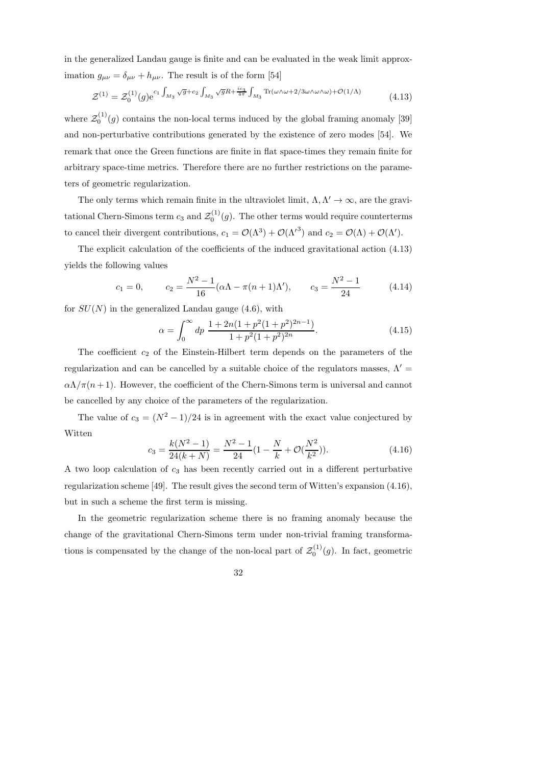in the generalized Landau gauge is finite and can be evaluated in the weak limit approximation  $g_{\mu\nu} = \delta_{\mu\nu} + h_{\mu\nu}$ . The result is of the form [54]

$$
\mathcal{Z}^{(1)} = \mathcal{Z}_0^{(1)}(g) e^{c_1 \int_{M_3} \sqrt{g} + c_2 \int_{M_3} \sqrt{g} R + \frac{ic_3}{4\pi} \int_{M_3} \text{Tr}(\omega \wedge \omega + 2/3\omega \wedge \omega \wedge \omega) + \mathcal{O}(1/\Lambda)}
$$
(4.13)

where  $\mathcal{Z}_0^{(1)}(g)$  contains the non-local terms induced by the global framing anomaly [39] and non-perturbative contributions generated by the existence of zero modes [54]. We remark that once the Green functions are finite in flat space-times they remain finite for arbitrary space-time metrics. Therefore there are no further restrictions on the parameters of geometric regularization.

The only terms which remain finite in the ultraviolet limit,  $\Lambda, \Lambda' \to \infty$ , are the gravitational Chern-Simons term  $c_3$  and  $\mathcal{Z}_0^{(1)}(g)$ . The other terms would require counterterms to cancel their divergent contributions,  $c_1 = \mathcal{O}(\Lambda^3) + \mathcal{O}(\Lambda'^3)$  and  $c_2 = \mathcal{O}(\Lambda) + \mathcal{O}(\Lambda')$ .

The explicit calculation of the coefficients of the induced gravitational action (4.13) yields the following values

$$
c_1 = 0,
$$
  $c_2 = \frac{N^2 - 1}{16} (\alpha \Lambda - \pi (n+1) \Lambda'),$   $c_3 = \frac{N^2 - 1}{24}$  (4.14)

for  $SU(N)$  in the generalized Landau gauge (4.6), with

$$
\alpha = \int_0^\infty dp \, \frac{1 + 2n(1 + p^2(1 + p^2)^{2n - 1})}{1 + p^2(1 + p^2)^{2n}}.
$$
\n(4.15)

The coefficient  $c_2$  of the Einstein-Hilbert term depends on the parameters of the regularization and can be cancelled by a suitable choice of the regulators masses,  $\Lambda'$  $\alpha\Lambda/\pi(n+1)$ . However, the coefficient of the Chern-Simons term is universal and cannot be cancelled by any choice of the parameters of the regularization.

The value of  $c_3 = (N^2 - 1)/24$  is in agreement with the exact value conjectured by Witten

$$
c_3 = \frac{k(N^2 - 1)}{24(k + N)} = \frac{N^2 - 1}{24} (1 - \frac{N}{k} + \mathcal{O}(\frac{N^2}{k^2})).
$$
\n(4.16)

A two loop calculation of  $c_3$  has been recently carried out in a different perturbative regularization scheme [49]. The result gives the second term of Witten's expansion (4.16), but in such a scheme the first term is missing.

In the geometric regularization scheme there is no framing anomaly because the change of the gravitational Chern-Simons term under non-trivial framing transformations is compensated by the change of the non-local part of  $\mathcal{Z}_0^{(1)}(g)$ . In fact, geometric

$$
^{32}
$$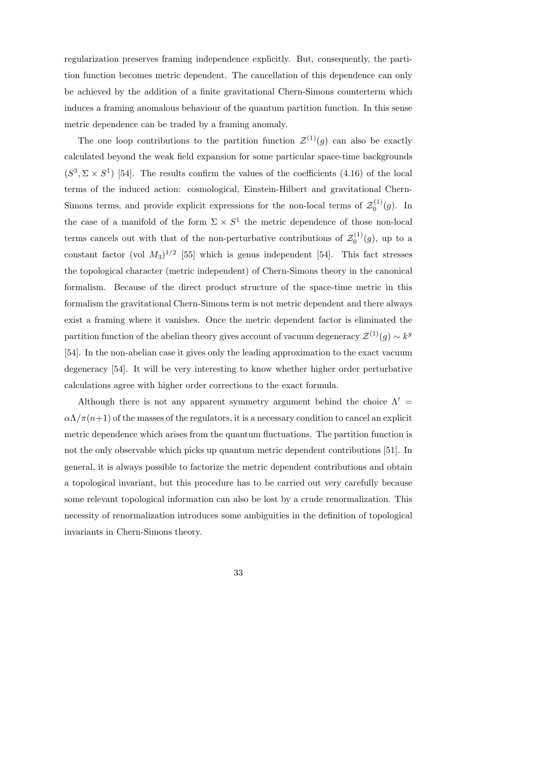regularization preserves framing independence explicitly. But, consequently, the partition function becomes metric dependent. The cancellation of this dependence can only be achieved by the addition of a finite gravitational Chern-Simons counterterm which induces a framing anomalous behaviour of the quantum partition function. In this sense metric dependence can be traded by a framing anomaly.

The one loop contributions to the partition function  $\mathcal{Z}^{(1)}(q)$  can also be exactly calculated beyond the weak field expansion for some particular space-time backgrounds  $(S^3, \Sigma \times S^1)$  [54]. The results confirm the values of the coefficients (4.16) of the local terms of the induced action: cosmological, Einstein-Hilbert and gravitational Chern-Simons terms, and provide explicit expressions for the non-local terms of  $\mathcal{Z}_0^{(1)}(g)$ . In the case of a manifold of the form  $\Sigma \times S^1$  the metric dependence of those non-local terms cancels out with that of the non-perturbative contributions of  $\mathcal{Z}_0^{(1)}(g)$ , up to a constant factor (vol  $M_3$ )<sup>1/2</sup> [55] which is genus independent [54]. This fact stresses the topological character (metric independent) of Chern-Simons theory in the canonical formalism. Because of the direct product structure of the space-time metric in this formalism the gravitational Chern-Simons term is not metric dependent and there always exist a framing where it vanishes. Once the metric dependent factor is eliminated the partition function of the abelian theory gives account of vacuum degeneracy  $\mathcal{Z}^{(1)}(g) \sim k^g$ [54]. In the non-abelian case it gives only the leading approximation to the exact vacuum degeneracy [54]. It will be very interesting to know whether higher order perturbative calculations agree with higher order corrections to the exact formula.

Although there is not any apparent symmetry argument behind the choice  $\Lambda'$  $\alpha\Lambda/\pi(n+1)$  of the masses of the regulators, it is a necessary condition to cancel an explicit metric dependence which arises from the quantum fluctuations. The partition function is not the only observable which picks up quantum metric dependent contributions [51]. In general, it is always possible to factorize the metric dependent contributions and obtain a topological invariant, but this procedure has to be carried out very carefully because some relevant topological information can also be lost by a crude renormalization. This necessity of renormalization introduces some ambiguities in the definition of topological invariants in Chern-Simons theory.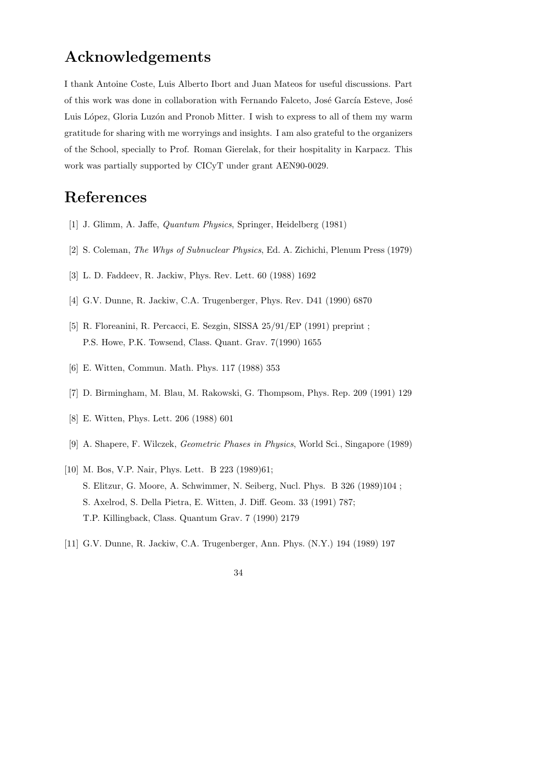# Acknowledgements

I thank Antoine Coste, Luis Alberto Ibort and Juan Mateos for useful discussions. Part of this work was done in collaboration with Fernando Falceto, José García Esteve, José Luis López, Gloria Luzón and Pronob Mitter. I wish to express to all of them my warm gratitude for sharing with me worryings and insights. I am also grateful to the organizers of the School, specially to Prof. Roman Gierelak, for their hospitality in Karpacz. This work was partially supported by CICyT under grant AEN90-0029.

## References

- [1] J. Glimm, A. Jaffe, Quantum Physics, Springer, Heidelberg (1981)
- [2] S. Coleman, The Whys of Subnuclear Physics, Ed. A. Zichichi, Plenum Press (1979)
- [3] L. D. Faddeev, R. Jackiw, Phys. Rev. Lett. 60 (1988) 1692
- [4] G.V. Dunne, R. Jackiw, C.A. Trugenberger, Phys. Rev. D41 (1990) 6870
- [5] R. Floreanini, R. Percacci, E. Sezgin, SISSA 25/91/EP (1991) preprint ; P.S. Howe, P.K. Towsend, Class. Quant. Grav. 7(1990) 1655
- [6] E. Witten, Commun. Math. Phys. 117 (1988) 353
- [7] D. Birmingham, M. Blau, M. Rakowski, G. Thompsom, Phys. Rep. 209 (1991) 129
- [8] E. Witten, Phys. Lett. 206 (1988) 601
- [9] A. Shapere, F. Wilczek, Geometric Phases in Physics, World Sci., Singapore (1989)
- [10] M. Bos, V.P. Nair, Phys. Lett. B 223 (1989)61; S. Elitzur, G. Moore, A. Schwimmer, N. Seiberg, Nucl. Phys. B 326 (1989)104 ; S. Axelrod, S. Della Pietra, E. Witten, J. Diff. Geom. 33 (1991) 787; T.P. Killingback, Class. Quantum Grav. 7 (1990) 2179
- [11] G.V. Dunne, R. Jackiw, C.A. Trugenberger, Ann. Phys. (N.Y.) 194 (1989) 197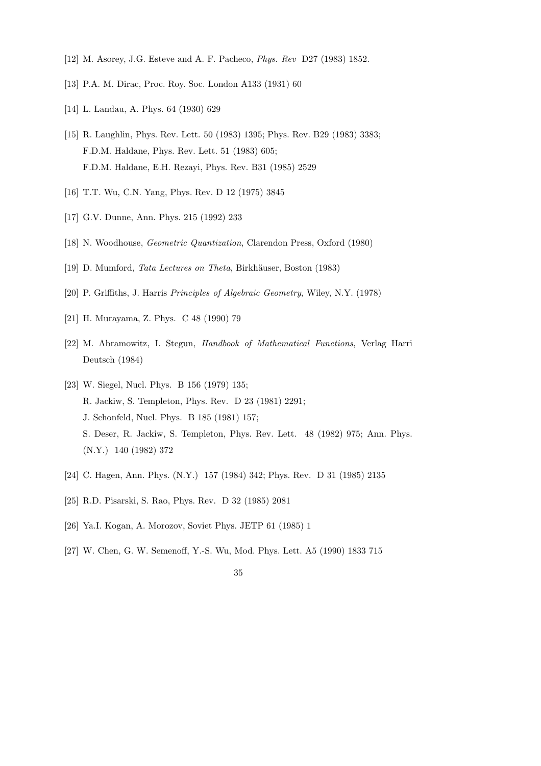- [12] M. Asorey, J.G. Esteve and A. F. Pacheco, Phys. Rev D27 (1983) 1852.
- [13] P.A. M. Dirac, Proc. Roy. Soc. London A133 (1931) 60
- [14] L. Landau, A. Phys. 64 (1930) 629
- [15] R. Laughlin, Phys. Rev. Lett. 50 (1983) 1395; Phys. Rev. B29 (1983) 3383; F.D.M. Haldane, Phys. Rev. Lett. 51 (1983) 605; F.D.M. Haldane, E.H. Rezayi, Phys. Rev. B31 (1985) 2529
- [16] T.T. Wu, C.N. Yang, Phys. Rev. D 12 (1975) 3845
- [17] G.V. Dunne, Ann. Phys. 215 (1992) 233
- [18] N. Woodhouse, Geometric Quantization, Clarendon Press, Oxford (1980)
- [19] D. Mumford, *Tata Lectures on Theta*, Birkhäuser, Boston (1983)
- [20] P. Griffiths, J. Harris Principles of Algebraic Geometry, Wiley, N.Y. (1978)
- [21] H. Murayama, Z. Phys. C 48 (1990) 79
- [22] M. Abramowitz, I. Stegun, Handbook of Mathematical Functions, Verlag Harri Deutsch (1984)
- [23] W. Siegel, Nucl. Phys. B 156 (1979) 135; R. Jackiw, S. Templeton, Phys. Rev. D 23 (1981) 2291; J. Schonfeld, Nucl. Phys. B 185 (1981) 157; S. Deser, R. Jackiw, S. Templeton, Phys. Rev. Lett. 48 (1982) 975; Ann. Phys. (N.Y.) 140 (1982) 372
- [24] C. Hagen, Ann. Phys. (N.Y.) 157 (1984) 342; Phys. Rev. D 31 (1985) 2135
- [25] R.D. Pisarski, S. Rao, Phys. Rev. D 32 (1985) 2081
- [26] Ya.I. Kogan, A. Morozov, Soviet Phys. JETP 61 (1985) 1
- [27] W. Chen, G. W. Semenoff, Y.-S. Wu, Mod. Phys. Lett. A5 (1990) 1833 715
	- 35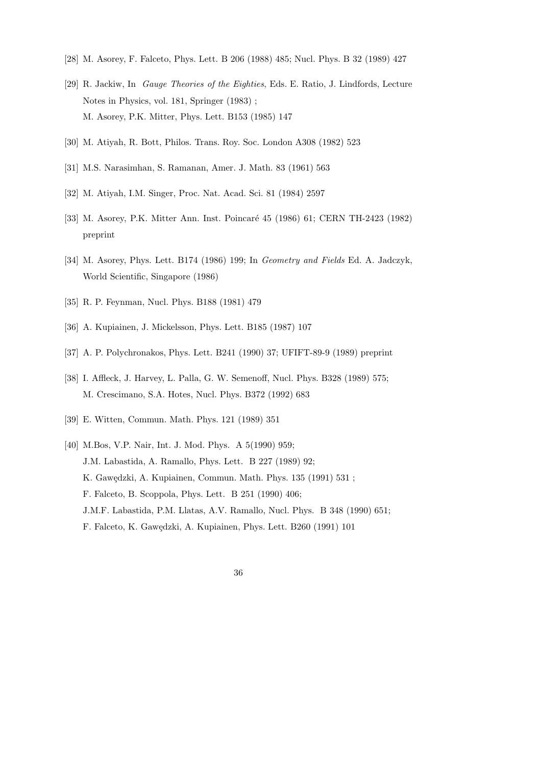- [28] M. Asorey, F. Falceto, Phys. Lett. B 206 (1988) 485; Nucl. Phys. B 32 (1989) 427
- [29] R. Jackiw, In Gauge Theories of the Eighties, Eds. E. Ratio, J. Lindfords, Lecture Notes in Physics, vol. 181, Springer (1983) ; M. Asorey, P.K. Mitter, Phys. Lett. B153 (1985) 147
- [30] M. Atiyah, R. Bott, Philos. Trans. Roy. Soc. London A308 (1982) 523
- [31] M.S. Narasimhan, S. Ramanan, Amer. J. Math. 83 (1961) 563
- [32] M. Atiyah, I.M. Singer, Proc. Nat. Acad. Sci. 81 (1984) 2597
- [33] M. Asorey, P.K. Mitter Ann. Inst. Poincaré 45 (1986) 61; CERN TH-2423 (1982) preprint
- [34] M. Asorey, Phys. Lett. B174 (1986) 199; In Geometry and Fields Ed. A. Jadczyk, World Scientific, Singapore (1986)
- [35] R. P. Feynman, Nucl. Phys. B188 (1981) 479
- [36] A. Kupiainen, J. Mickelsson, Phys. Lett. B185 (1987) 107
- [37] A. P. Polychronakos, Phys. Lett. B241 (1990) 37; UFIFT-89-9 (1989) preprint
- [38] I. Affleck, J. Harvey, L. Palla, G. W. Semenoff, Nucl. Phys. B328 (1989) 575; M. Crescimano, S.A. Hotes, Nucl. Phys. B372 (1992) 683
- [39] E. Witten, Commun. Math. Phys. 121 (1989) 351
- [40] M.Bos, V.P. Nair, Int. J. Mod. Phys. A 5(1990) 959; J.M. Labastida, A. Ramallo, Phys. Lett. B 227 (1989) 92; K. Gawędzki, A. Kupiainen, Commun. Math. Phys. 135 (1991) 531 ; F. Falceto, B. Scoppola, Phys. Lett. B 251 (1990) 406; J.M.F. Labastida, P.M. Llatas, A.V. Ramallo, Nucl. Phys. B 348 (1990) 651; F. Falceto, K. Gawędzki, A. Kupiainen, Phys. Lett. B260 (1991) 101